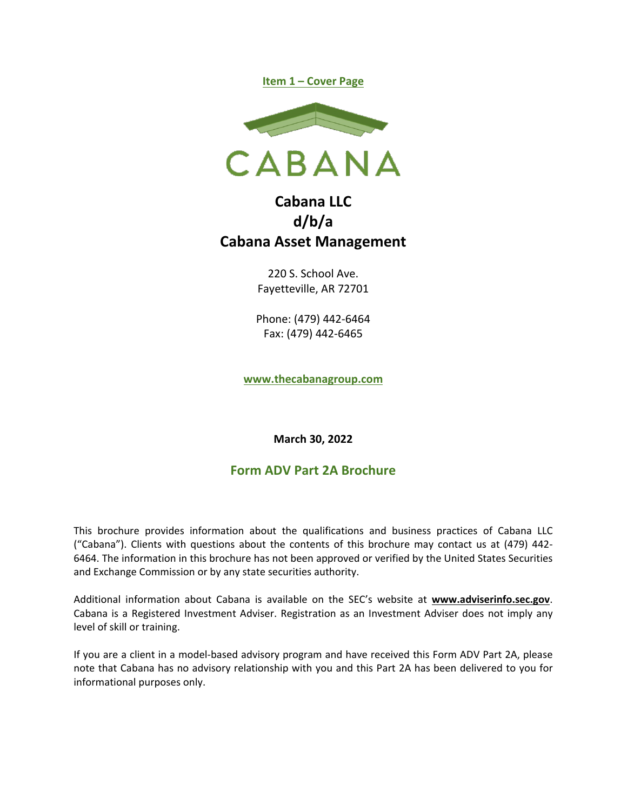



# **Cabana LLC d/b/a Cabana Asset Management**

220 S. School Ave. Fayetteville, AR 72701

Phone: (479) 442-6464 Fax: (479) 442-6465

**www.thecabanagroup.com**

**March 30, 2022** 

## **Form ADV Part 2A Brochure**

This brochure provides information about the qualifications and business practices of Cabana LLC ("Cabana"). Clients with questions about the contents of this brochure may contact us at (479) 442- 6464. The information in this brochure has not been approved or verified by the United States Securities and Exchange Commission or by any state securities authority.

Additional information about Cabana is available on the SEC's website at **www.adviserinfo.sec.gov**. Cabana is a Registered Investment Adviser. Registration as an Investment Adviser does not imply any level of skill or training.

If you are a client in a model-based advisory program and have received this Form ADV Part 2A, please note that Cabana has no advisory relationship with you and this Part 2A has been delivered to you for informational purposes only.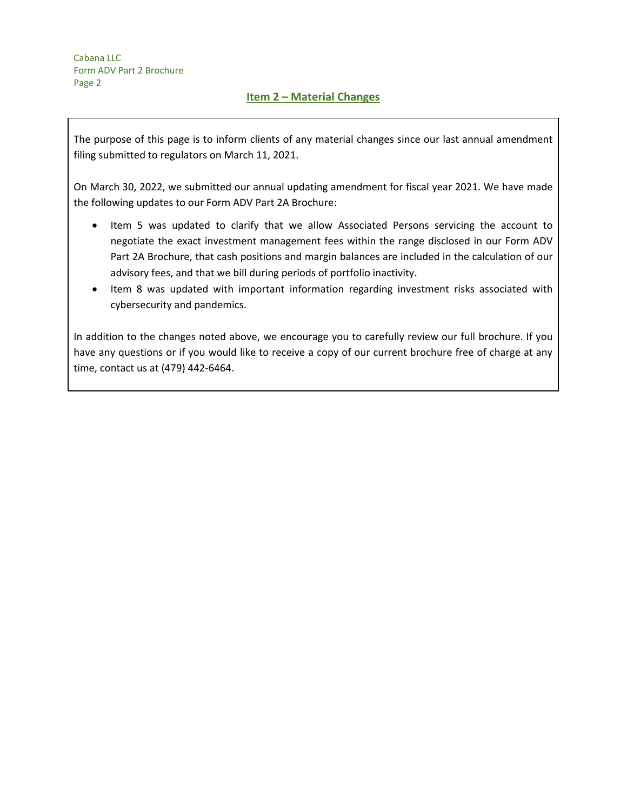The purpose of this page is to inform clients of any material changes since our last annual amendment filing submitted to regulators on March 11, 2021.

On March 30, 2022, we submitted our annual updating amendment for fiscal year 2021. We have made the following updates to our Form ADV Part 2A Brochure:

- Item 5 was updated to clarify that we allow Associated Persons servicing the account to negotiate the exact investment management fees within the range disclosed in our Form ADV Part 2A Brochure, that cash positions and margin balances are included in the calculation of our advisory fees, and that we bill during periods of portfolio inactivity.
- Item 8 was updated with important information regarding investment risks associated with cybersecurity and pandemics.

In addition to the changes noted above, we encourage you to carefully review our full brochure. If you have any questions or if you would like to receive a copy of our current brochure free of charge at any time, contact us at (479) 442-6464.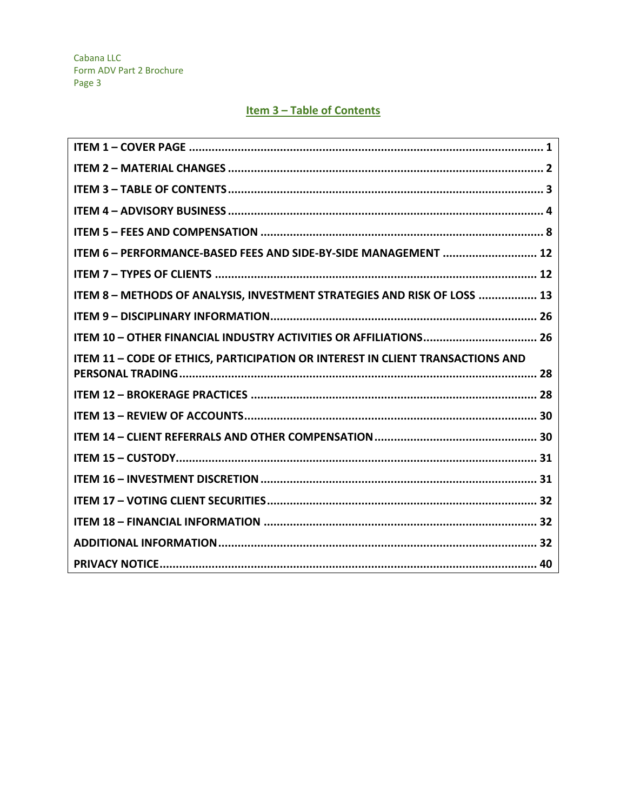## Item 3 - Table of Contents

| ITEM 6 - PERFORMANCE-BASED FEES AND SIDE-BY-SIDE MANAGEMENT  12                |
|--------------------------------------------------------------------------------|
|                                                                                |
| ITEM 8 - METHODS OF ANALYSIS, INVESTMENT STRATEGIES AND RISK OF LOSS  13       |
|                                                                                |
|                                                                                |
| ITEM 11 - CODE OF ETHICS, PARTICIPATION OR INTEREST IN CLIENT TRANSACTIONS AND |
|                                                                                |
|                                                                                |
|                                                                                |
|                                                                                |
|                                                                                |
|                                                                                |
|                                                                                |
|                                                                                |
|                                                                                |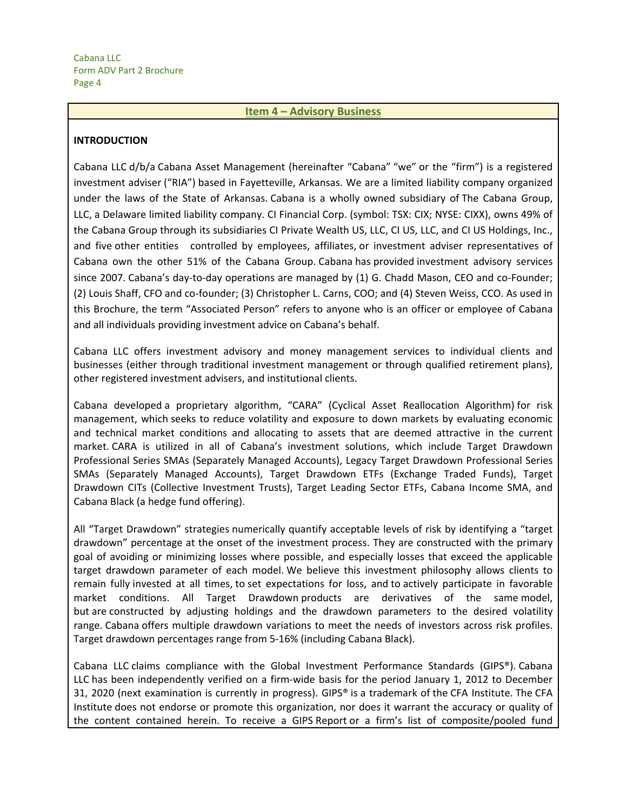#### **Item 4 – Advisory Business**

#### **INTRODUCTION**

Cabana LLC d/b/a Cabana Asset Management (hereinafter "Cabana" "we" or the "firm") is a registered investment adviser ("RIA") based in Fayetteville, Arkansas. We are a limited liability company organized under the laws of the State of Arkansas. Cabana is a wholly owned subsidiary of The Cabana Group, LLC, a Delaware limited liability company. CI Financial Corp. (symbol: TSX: CIX; NYSE: CIXX), owns 49% of the Cabana Group through its subsidiaries CI Private Wealth US, LLC, CI US, LLC, and CI US Holdings, Inc., and five other entities controlled by employees, affiliates, or investment adviser representatives of Cabana own the other 51% of the Cabana Group. Cabana has provided investment advisory services since 2007. Cabana's day-to-day operations are managed by (1) G. Chadd Mason, CEO and co-Founder; (2) Louis Shaff, CFO and co-founder; (3) Christopher L. Carns, COO; and (4) Steven Weiss, CCO. As used in this Brochure, the term "Associated Person" refers to anyone who is an officer or employee of Cabana and all individuals providing investment advice on Cabana's behalf.

Cabana LLC offers investment advisory and money management services to individual clients and businesses (either through traditional investment management or through qualified retirement plans), other registered investment advisers, and institutional clients.

Cabana developed a proprietary algorithm, "CARA" (Cyclical Asset Reallocation Algorithm) for risk management, which seeks to reduce volatility and exposure to down markets by evaluating economic and technical market conditions and allocating to assets that are deemed attractive in the current market. CARA is utilized in all of Cabana's investment solutions, which include Target Drawdown Professional Series SMAs (Separately Managed Accounts), Legacy Target Drawdown Professional Series SMAs (Separately Managed Accounts), Target Drawdown ETFs (Exchange Traded Funds), Target Drawdown CITs (Collective Investment Trusts), Target Leading Sector ETFs, Cabana Income SMA, and Cabana Black (a hedge fund offering).

All "Target Drawdown" strategies numerically quantify acceptable levels of risk by identifying a "target drawdown" percentage at the onset of the investment process. They are constructed with the primary goal of avoiding or minimizing losses where possible, and especially losses that exceed the applicable target drawdown parameter of each model. We believe this investment philosophy allows clients to remain fully invested at all times, to set expectations for loss, and to actively participate in favorable market conditions. All Target Drawdown products are derivatives of the same model, but are constructed by adjusting holdings and the drawdown parameters to the desired volatility range. Cabana offers multiple drawdown variations to meet the needs of investors across risk profiles. Target drawdown percentages range from 5-16% (including Cabana Black).

Cabana LLC claims compliance with the Global Investment Performance Standards (GIPS®). Cabana LLC has been independently verified on a firm-wide basis for the period January 1, 2012 to December 31, 2020 (next examination is currently in progress). GIPS® is a trademark of the CFA Institute. The CFA Institute does not endorse or promote this organization, nor does it warrant the accuracy or quality of the content contained herein. To receive a GIPS Report or a firm's list of composite/pooled fund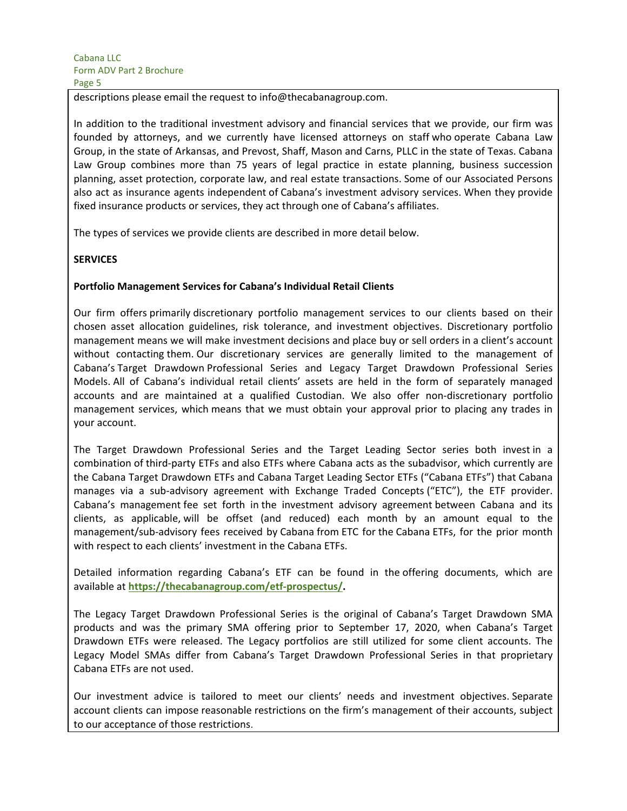descriptions please email the request to info@thecabanagroup.com.

In addition to the traditional investment advisory and financial services that we provide, our firm was founded by attorneys, and we currently have licensed attorneys on staff who operate Cabana Law Group, in the state of Arkansas, and Prevost, Shaff, Mason and Carns, PLLC in the state of Texas. Cabana Law Group combines more than 75 years of legal practice in estate planning, business succession planning, asset protection, corporate law, and real estate transactions. Some of our Associated Persons also act as insurance agents independent of Cabana's investment advisory services. When they provide fixed insurance products or services, they act through one of Cabana's affiliates.

The types of services we provide clients are described in more detail below.

#### **SERVICES**

#### **Portfolio Management Services for Cabana's Individual Retail Clients**

Our firm offers primarily discretionary portfolio management services to our clients based on their chosen asset allocation guidelines, risk tolerance, and investment objectives. Discretionary portfolio management means we will make investment decisions and place buy or sell orders in a client's account without contacting them. Our discretionary services are generally limited to the management of Cabana's Target Drawdown Professional Series and Legacy Target Drawdown Professional Series Models. All of Cabana's individual retail clients' assets are held in the form of separately managed accounts and are maintained at a qualified Custodian. We also offer non-discretionary portfolio management services, which means that we must obtain your approval prior to placing any trades in your account.

The Target Drawdown Professional Series and the Target Leading Sector series both invest in a combination of third-party ETFs and also ETFs where Cabana acts as the subadvisor, which currently are the Cabana Target Drawdown ETFs and Cabana Target Leading Sector ETFs ("Cabana ETFs") that Cabana manages via a sub-advisory agreement with Exchange Traded Concepts ("ETC"), the ETF provider. Cabana's management fee set forth in the investment advisory agreement between Cabana and its clients, as applicable, will be offset (and reduced) each month by an amount equal to the management/sub-advisory fees received by Cabana from ETC for the Cabana ETFs, for the prior month with respect to each clients' investment in the Cabana ETFs.

Detailed information regarding Cabana's ETF can be found in the offering documents, which are available at **https://thecabanagroup.com/etf-prospectus/.**

The Legacy Target Drawdown Professional Series is the original of Cabana's Target Drawdown SMA products and was the primary SMA offering prior to September 17, 2020, when Cabana's Target Drawdown ETFs were released. The Legacy portfolios are still utilized for some client accounts. The Legacy Model SMAs differ from Cabana's Target Drawdown Professional Series in that proprietary Cabana ETFs are not used.

Our investment advice is tailored to meet our clients' needs and investment objectives. Separate account clients can impose reasonable restrictions on the firm's management of their accounts, subject to our acceptance of those restrictions.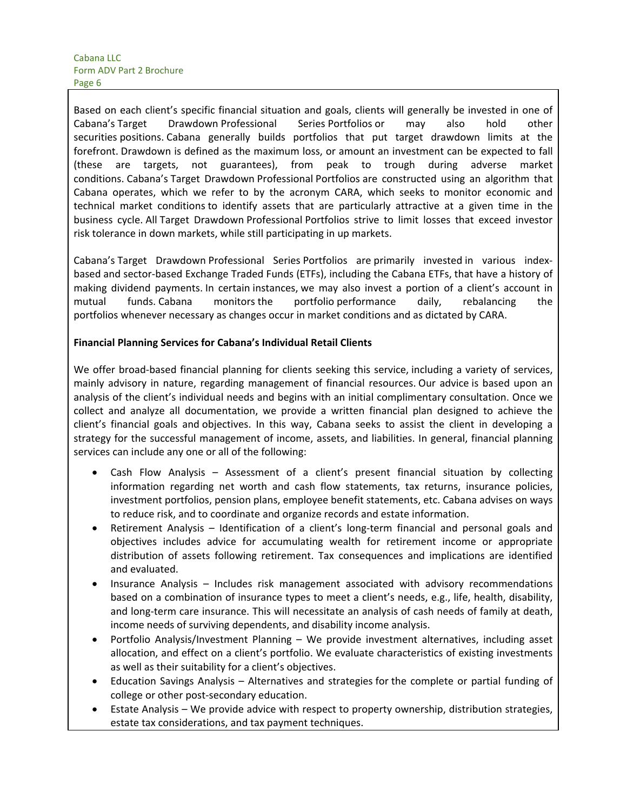Based on each client's specific financial situation and goals, clients will generally be invested in one of Cabana's Target Drawdown Professional Series Portfolios or may also hold other securities positions. Cabana generally builds portfolios that put target drawdown limits at the forefront. Drawdown is defined as the maximum loss, or amount an investment can be expected to fall (these are targets, not guarantees), from peak to trough during adverse market conditions. Cabana's Target Drawdown Professional Portfolios are constructed using an algorithm that Cabana operates, which we refer to by the acronym CARA, which seeks to monitor economic and technical market conditions to identify assets that are particularly attractive at a given time in the business cycle. All Target Drawdown Professional Portfolios strive to limit losses that exceed investor risk tolerance in down markets, while still participating in up markets.

Cabana's Target Drawdown Professional Series Portfolios are primarily invested in various indexbased and sector-based Exchange Traded Funds (ETFs), including the Cabana ETFs, that have a history of making dividend payments. In certain instances, we may also invest a portion of a client's account in mutual funds. Cabana monitors the portfolio performance daily, rebalancing the portfolios whenever necessary as changes occur in market conditions and as dictated by CARA.

#### **Financial Planning Services for Cabana's Individual Retail Clients**

We offer broad-based financial planning for clients seeking this service, including a variety of services, mainly advisory in nature, regarding management of financial resources. Our advice is based upon an analysis of the client's individual needs and begins with an initial complimentary consultation. Once we collect and analyze all documentation, we provide a written financial plan designed to achieve the client's financial goals and objectives. In this way, Cabana seeks to assist the client in developing a strategy for the successful management of income, assets, and liabilities. In general, financial planning services can include any one or all of the following:

- Cash Flow Analysis Assessment of a client's present financial situation by collecting information regarding net worth and cash flow statements, tax returns, insurance policies, investment portfolios, pension plans, employee benefit statements, etc. Cabana advises on ways to reduce risk, and to coordinate and organize records and estate information.
- Retirement Analysis Identification of a client's long-term financial and personal goals and objectives includes advice for accumulating wealth for retirement income or appropriate distribution of assets following retirement. Tax consequences and implications are identified and evaluated.
- Insurance Analysis Includes risk management associated with advisory recommendations based on a combination of insurance types to meet a client's needs, e.g., life, health, disability, and long-term care insurance. This will necessitate an analysis of cash needs of family at death, income needs of surviving dependents, and disability income analysis.
- Portfolio Analysis/Investment Planning We provide investment alternatives, including asset allocation, and effect on a client's portfolio. We evaluate characteristics of existing investments as well as their suitability for a client's objectives.
- Education Savings Analysis Alternatives and strategies for the complete or partial funding of college or other post-secondary education.
- Estate Analysis We provide advice with respect to property ownership, distribution strategies, estate tax considerations, and tax payment techniques.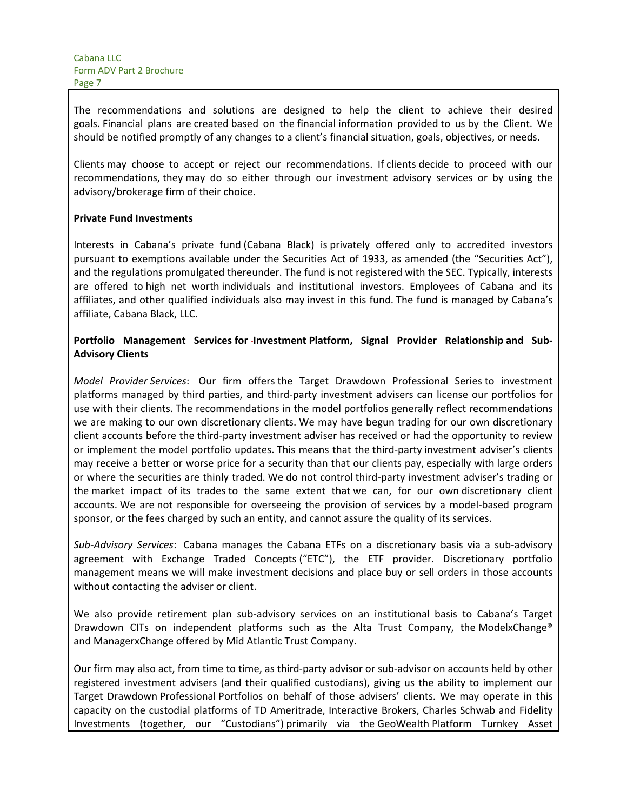The recommendations and solutions are designed to help the client to achieve their desired goals. Financial plans are created based on the financial information provided to us by the Client. We should be notified promptly of any changes to a client's financial situation, goals, objectives, or needs.

Clients may choose to accept or reject our recommendations. If clients decide to proceed with our recommendations, they may do so either through our investment advisory services or by using the advisory/brokerage firm of their choice.

#### **Private Fund Investments**

Interests in Cabana's private fund (Cabana Black) is privately offered only to accredited investors pursuant to exemptions available under the Securities Act of 1933, as amended (the "Securities Act"), and the regulations promulgated thereunder. The fund is not registered with the SEC. Typically, interests are offered to high net worth individuals and institutional investors. Employees of Cabana and its affiliates, and other qualified individuals also may invest in this fund. The fund is managed by Cabana's affiliate, Cabana Black, LLC.

## **Portfolio Management Services for Investment Platform, Signal Provider Relationship and Sub-Advisory Clients**

*Model Provider Services*: Our firm offers the Target Drawdown Professional Series to investment platforms managed by third parties, and third-party investment advisers can license our portfolios for use with their clients. The recommendations in the model portfolios generally reflect recommendations we are making to our own discretionary clients. We may have begun trading for our own discretionary client accounts before the third-party investment adviser has received or had the opportunity to review or implement the model portfolio updates. This means that the third-party investment adviser's clients may receive a better or worse price for a security than that our clients pay, especially with large orders or where the securities are thinly traded. We do not control third-party investment adviser's trading or the market impact of its trades to the same extent that we can, for our own discretionary client accounts. We are not responsible for overseeing the provision of services by a model-based program sponsor, or the fees charged by such an entity, and cannot assure the quality of its services.

*Sub-Advisory Services*: Cabana manages the Cabana ETFs on a discretionary basis via a sub-advisory agreement with Exchange Traded Concepts ("ETC"), the ETF provider. Discretionary portfolio management means we will make investment decisions and place buy or sell orders in those accounts without contacting the adviser or client.

We also provide retirement plan sub-advisory services on an institutional basis to Cabana's Target Drawdown CITs on independent platforms such as the Alta Trust Company, the ModelxChange® and ManagerxChange offered by Mid Atlantic Trust Company.

Our firm may also act, from time to time, as third-party advisor or sub-advisor on accounts held by other registered investment advisers (and their qualified custodians), giving us the ability to implement our Target Drawdown Professional Portfolios on behalf of those advisers' clients. We may operate in this capacity on the custodial platforms of TD Ameritrade, Interactive Brokers, Charles Schwab and Fidelity Investments (together, our "Custodians") primarily via the GeoWealth Platform Turnkey Asset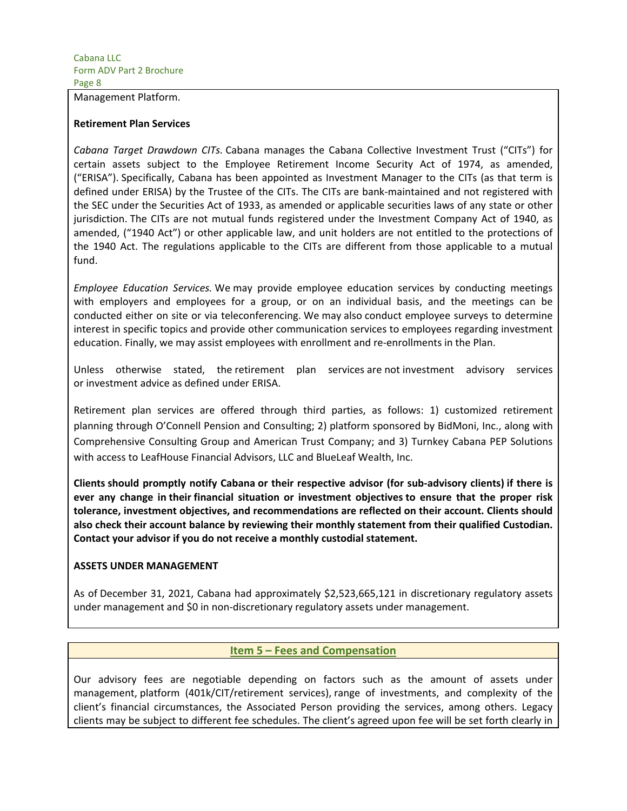#### Management Platform.

#### **Retirement Plan Services**

*Cabana Target Drawdown CITs.* Cabana manages the Cabana Collective Investment Trust ("CITs") for certain assets subject to the Employee Retirement Income Security Act of 1974, as amended, ("ERISA"). Specifically, Cabana has been appointed as Investment Manager to the CITs (as that term is defined under ERISA) by the Trustee of the CITs. The CITs are bank-maintained and not registered with the SEC under the Securities Act of 1933, as amended or applicable securities laws of any state or other jurisdiction. The CITs are not mutual funds registered under the Investment Company Act of 1940, as amended, ("1940 Act") or other applicable law, and unit holders are not entitled to the protections of the 1940 Act. The regulations applicable to the CITs are different from those applicable to a mutual fund.

*Employee Education Services.* We may provide employee education services by conducting meetings with employers and employees for a group, or on an individual basis, and the meetings can be conducted either on site or via teleconferencing. We may also conduct employee surveys to determine interest in specific topics and provide other communication services to employees regarding investment education. Finally, we may assist employees with enrollment and re-enrollments in the Plan.

Unless otherwise stated, the retirement plan services are not investment advisory services or investment advice as defined under ERISA.

Retirement plan services are offered through third parties, as follows: 1) customized retirement planning through O'Connell Pension and Consulting; 2) platform sponsored by BidMoni, Inc., along with Comprehensive Consulting Group and American Trust Company; and 3) Turnkey Cabana PEP Solutions with access to LeafHouse Financial Advisors, LLC and BlueLeaf Wealth, Inc.

**Clients should promptly notify Cabana or their respective advisor (for sub-advisory clients) if there is ever any change in their financial situation or investment objectives to ensure that the proper risk tolerance, investment objectives, and recommendations are reflected on their account. Clients should also check their account balance by reviewing their monthly statement from their qualified Custodian. Contact your advisor if you do not receive a monthly custodial statement.**

#### **ASSETS UNDER MANAGEMENT**

As of December 31, 2021, Cabana had approximately \$2,523,665,121 in discretionary regulatory assets under management and \$0 in non-discretionary regulatory assets under management.

#### **Item 5 – Fees and Compensation**

Our advisory fees are negotiable depending on factors such as the amount of assets under management, platform (401k/CIT/retirement services), range of investments, and complexity of the client's financial circumstances, the Associated Person providing the services, among others. Legacy clients may be subject to different fee schedules. The client's agreed upon fee will be set forth clearly in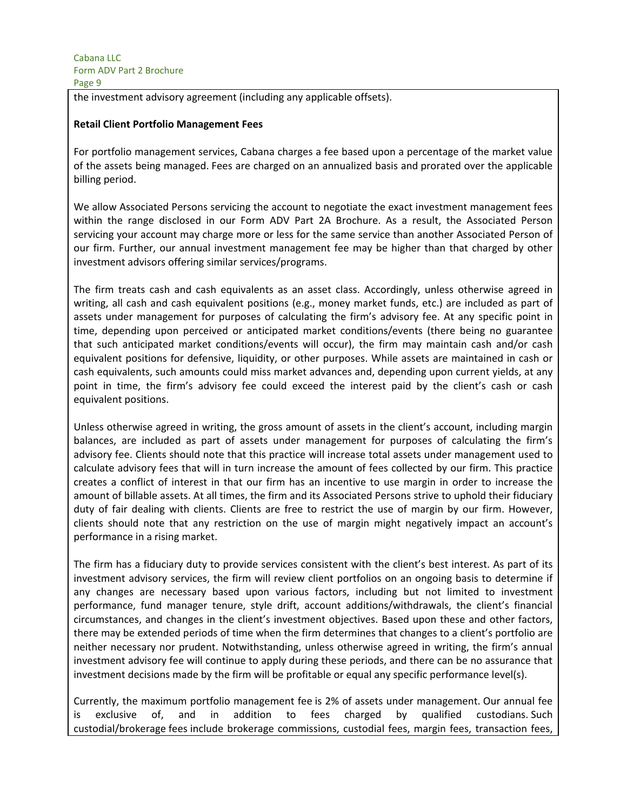the investment advisory agreement (including any applicable offsets).

#### **Retail Client Portfolio Management Fees**

For portfolio management services, Cabana charges a fee based upon a percentage of the market value of the assets being managed. Fees are charged on an annualized basis and prorated over the applicable billing period.

We allow Associated Persons servicing the account to negotiate the exact investment management fees within the range disclosed in our Form ADV Part 2A Brochure. As a result, the Associated Person servicing your account may charge more or less for the same service than another Associated Person of our firm. Further, our annual investment management fee may be higher than that charged by other investment advisors offering similar services/programs.

The firm treats cash and cash equivalents as an asset class. Accordingly, unless otherwise agreed in writing, all cash and cash equivalent positions (e.g., money market funds, etc.) are included as part of assets under management for purposes of calculating the firm's advisory fee. At any specific point in time, depending upon perceived or anticipated market conditions/events (there being no guarantee that such anticipated market conditions/events will occur), the firm may maintain cash and/or cash equivalent positions for defensive, liquidity, or other purposes. While assets are maintained in cash or cash equivalents, such amounts could miss market advances and, depending upon current yields, at any point in time, the firm's advisory fee could exceed the interest paid by the client's cash or cash equivalent positions.

Unless otherwise agreed in writing, the gross amount of assets in the client's account, including margin balances, are included as part of assets under management for purposes of calculating the firm's advisory fee. Clients should note that this practice will increase total assets under management used to calculate advisory fees that will in turn increase the amount of fees collected by our firm. This practice creates a conflict of interest in that our firm has an incentive to use margin in order to increase the amount of billable assets. At all times, the firm and its Associated Persons strive to uphold their fiduciary duty of fair dealing with clients. Clients are free to restrict the use of margin by our firm. However, clients should note that any restriction on the use of margin might negatively impact an account's performance in a rising market.

The firm has a fiduciary duty to provide services consistent with the client's best interest. As part of its investment advisory services, the firm will review client portfolios on an ongoing basis to determine if any changes are necessary based upon various factors, including but not limited to investment performance, fund manager tenure, style drift, account additions/withdrawals, the client's financial circumstances, and changes in the client's investment objectives. Based upon these and other factors, there may be extended periods of time when the firm determines that changes to a client's portfolio are neither necessary nor prudent. Notwithstanding, unless otherwise agreed in writing, the firm's annual investment advisory fee will continue to apply during these periods, and there can be no assurance that investment decisions made by the firm will be profitable or equal any specific performance level(s).

Currently, the maximum portfolio management fee is 2% of assets under management. Our annual fee is exclusive of, and in addition to fees charged by qualified custodians. Such custodial/brokerage fees include brokerage commissions, custodial fees, margin fees, transaction fees,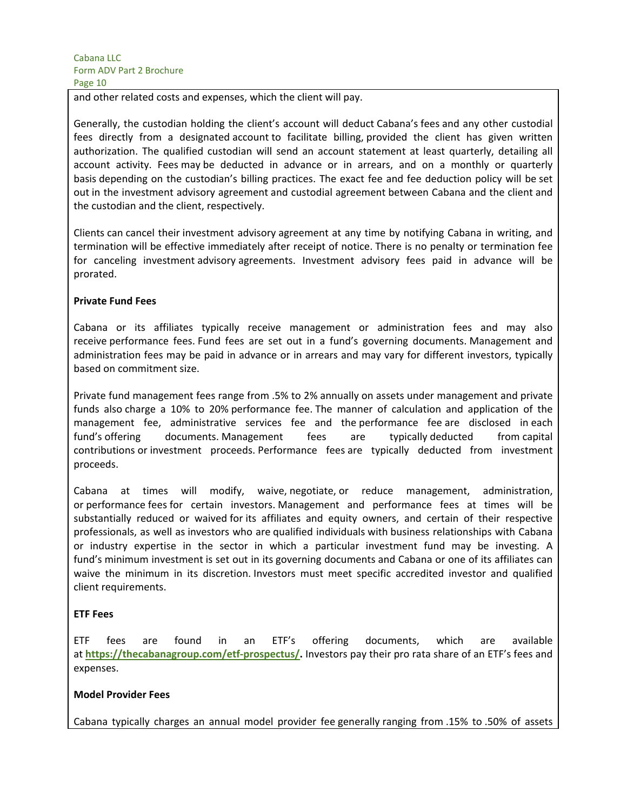and other related costs and expenses, which the client will pay.

Generally, the custodian holding the client's account will deduct Cabana's fees and any other custodial fees directly from a designated account to facilitate billing, provided the client has given written authorization. The qualified custodian will send an account statement at least quarterly, detailing all account activity. Fees may be deducted in advance or in arrears, and on a monthly or quarterly basis depending on the custodian's billing practices. The exact fee and fee deduction policy will be set out in the investment advisory agreement and custodial agreement between Cabana and the client and the custodian and the client, respectively.

Clients can cancel their investment advisory agreement at any time by notifying Cabana in writing, and termination will be effective immediately after receipt of notice. There is no penalty or termination fee for canceling investment advisory agreements. Investment advisory fees paid in advance will be prorated.

#### **Private Fund Fees**

Cabana or its affiliates typically receive management or administration fees and may also receive performance fees. Fund fees are set out in a fund's governing documents. Management and administration fees may be paid in advance or in arrears and may vary for different investors, typically based on commitment size.

Private fund management fees range from .5% to 2% annually on assets under management and private funds also charge a 10% to 20% performance fee. The manner of calculation and application of the management fee, administrative services fee and the performance fee are disclosed in each fund's offering documents. Management fees are typically deducted from capital contributions or investment proceeds. Performance fees are typically deducted from investment proceeds.

Cabana at times will modify, waive, negotiate, or reduce management, administration, or performance fees for certain investors. Management and performance fees at times will be substantially reduced or waived for its affiliates and equity owners, and certain of their respective professionals, as well as investors who are qualified individuals with business relationships with Cabana or industry expertise in the sector in which a particular investment fund may be investing. A fund's minimum investment is set out in its governing documents and Cabana or one of its affiliates can waive the minimum in its discretion. Investors must meet specific accredited investor and qualified client requirements.

#### **ETF Fees**

ETF fees are found in an ETF's offering documents, which are available at **https://thecabanagroup.com/etf-prospectus/.** Investors pay their pro rata share of an ETF's fees and expenses.

#### **Model Provider Fees**

Cabana typically charges an annual model provider fee generally ranging from .15% to .50% of assets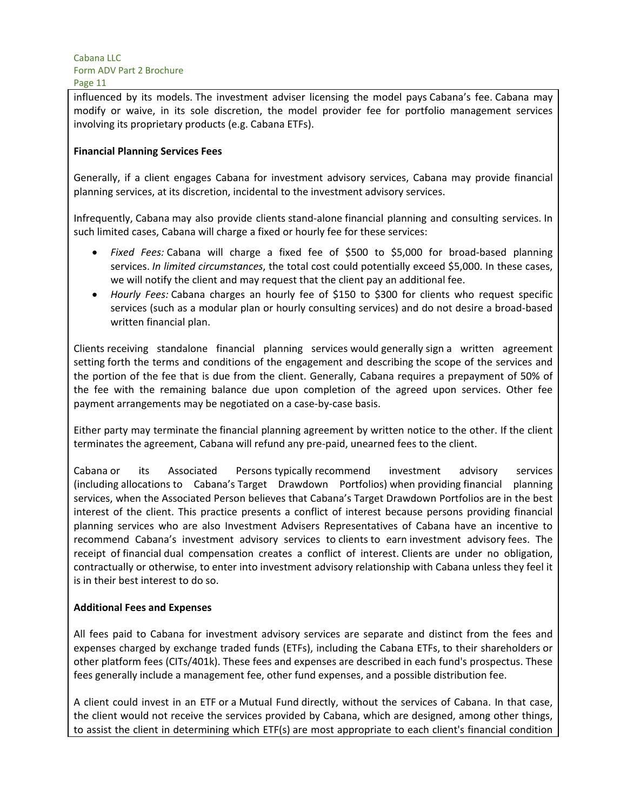influenced by its models. The investment adviser licensing the model pays Cabana's fee. Cabana may modify or waive, in its sole discretion, the model provider fee for portfolio management services involving its proprietary products (e.g. Cabana ETFs).

#### **Financial Planning Services Fees**

Generally, if a client engages Cabana for investment advisory services, Cabana may provide financial planning services, at its discretion, incidental to the investment advisory services.

Infrequently, Cabana may also provide clients stand-alone financial planning and consulting services. In such limited cases, Cabana will charge a fixed or hourly fee for these services:

- *Fixed Fees:* Cabana will charge a fixed fee of \$500 to \$5,000 for broad-based planning services. *In limited circumstances*, the total cost could potentially exceed \$5,000. In these cases, we will notify the client and may request that the client pay an additional fee.
- *Hourly Fees:* Cabana charges an hourly fee of \$150 to \$300 for clients who request specific services (such as a modular plan or hourly consulting services) and do not desire a broad-based written financial plan.

Clients receiving standalone financial planning services would generally sign a written agreement setting forth the terms and conditions of the engagement and describing the scope of the services and the portion of the fee that is due from the client. Generally, Cabana requires a prepayment of 50% of the fee with the remaining balance due upon completion of the agreed upon services. Other fee payment arrangements may be negotiated on a case-by-case basis.

Either party may terminate the financial planning agreement by written notice to the other. If the client terminates the agreement, Cabana will refund any pre-paid, unearned fees to the client.

Cabana or its Associated Persons typically recommend investment advisory services (including allocations to Cabana's Target Drawdown Portfolios) when providing financial planning services, when the Associated Person believes that Cabana's Target Drawdown Portfolios are in the best interest of the client. This practice presents a conflict of interest because persons providing financial planning services who are also Investment Advisers Representatives of Cabana have an incentive to recommend Cabana's investment advisory services to clients to earn investment advisory fees. The receipt of financial dual compensation creates a conflict of interest. Clients are under no obligation, contractually or otherwise, to enter into investment advisory relationship with Cabana unless they feel it is in their best interest to do so.

#### **Additional Fees and Expenses**

All fees paid to Cabana for investment advisory services are separate and distinct from the fees and expenses charged by exchange traded funds (ETFs), including the Cabana ETFs, to their shareholders or other platform fees (CITs/401k). These fees and expenses are described in each fund's prospectus. These fees generally include a management fee, other fund expenses, and a possible distribution fee.

A client could invest in an ETF or a Mutual Fund directly, without the services of Cabana. In that case, the client would not receive the services provided by Cabana, which are designed, among other things, to assist the client in determining which ETF(s) are most appropriate to each client's financial condition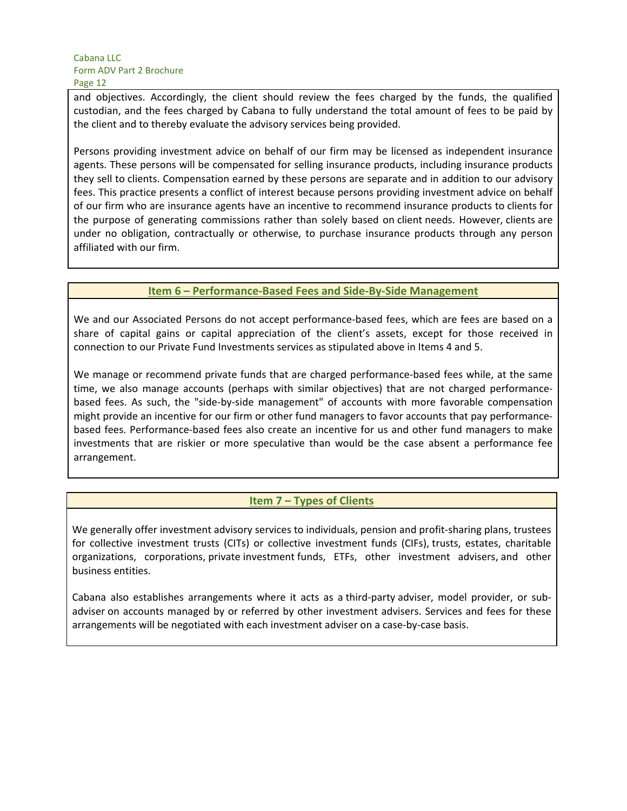and objectives. Accordingly, the client should review the fees charged by the funds, the qualified custodian, and the fees charged by Cabana to fully understand the total amount of fees to be paid by the client and to thereby evaluate the advisory services being provided.

Persons providing investment advice on behalf of our firm may be licensed as independent insurance agents. These persons will be compensated for selling insurance products, including insurance products they sell to clients. Compensation earned by these persons are separate and in addition to our advisory fees. This practice presents a conflict of interest because persons providing investment advice on behalf of our firm who are insurance agents have an incentive to recommend insurance products to clients for the purpose of generating commissions rather than solely based on client needs. However, clients are under no obligation, contractually or otherwise, to purchase insurance products through any person affiliated with our firm.

## **Item 6 – Performance-Based Fees and Side-By-Side Management**

We and our Associated Persons do not accept performance-based fees, which are fees are based on a share of capital gains or capital appreciation of the client's assets, except for those received in connection to our Private Fund Investments services as stipulated above in Items 4 and 5.

We manage or recommend private funds that are charged performance-based fees while, at the same time, we also manage accounts (perhaps with similar objectives) that are not charged performancebased fees. As such, the "side-by-side management" of accounts with more favorable compensation might provide an incentive for our firm or other fund managers to favor accounts that pay performancebased fees. Performance-based fees also create an incentive for us and other fund managers to make investments that are riskier or more speculative than would be the case absent a performance fee arrangement.

## **Item 7 – Types of Clients**

We generally offer investment advisory services to individuals, pension and profit-sharing plans, trustees for collective investment trusts (CITs) or collective investment funds (CIFs), trusts, estates, charitable organizations, corporations, private investment funds, ETFs, other investment advisers, and other business entities.

Cabana also establishes arrangements where it acts as a third-party adviser, model provider, or subadviser on accounts managed by or referred by other investment advisers. Services and fees for these arrangements will be negotiated with each investment adviser on a case-by-case basis.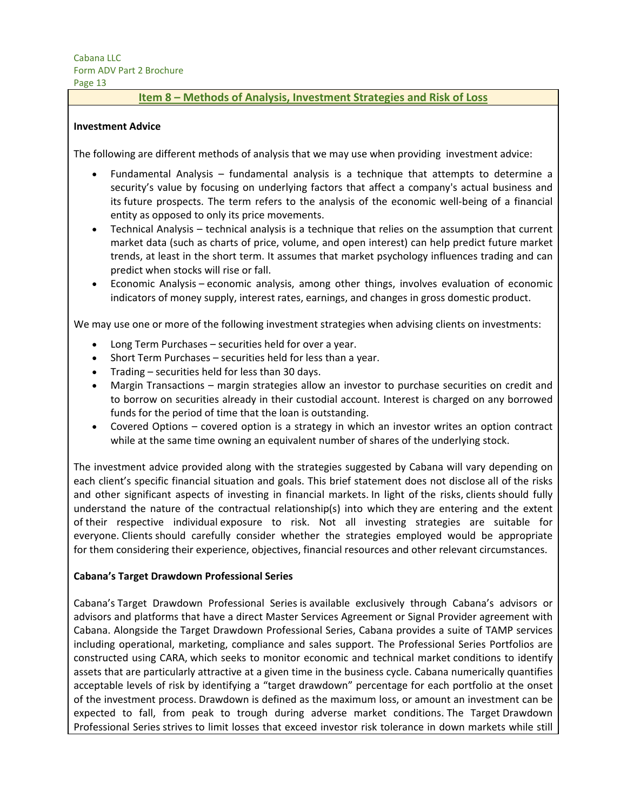#### **Item 8 – Methods of Analysis, Investment Strategies and Risk of Loss**

#### **Investment Advice**

The following are different methods of analysis that we may use when providing investment advice:

- Fundamental Analysis fundamental analysis is a technique that attempts to determine a security's value by focusing on underlying factors that affect a company's actual business and its future prospects. The term refers to the analysis of the economic well-being of a financial entity as opposed to only its price movements.
- Technical Analysis technical analysis is a technique that relies on the assumption that current market data (such as charts of price, volume, and open interest) can help predict future market trends, at least in the short term. It assumes that market psychology influences trading and can predict when stocks will rise or fall.
- Economic Analysis economic analysis, among other things, involves evaluation of economic indicators of money supply, interest rates, earnings, and changes in gross domestic product.

We may use one or more of the following investment strategies when advising clients on investments:

- Long Term Purchases securities held for over a year.
- Short Term Purchases securities held for less than a year.
- Trading securities held for less than 30 days.
- Margin Transactions margin strategies allow an investor to purchase securities on credit and to borrow on securities already in their custodial account. Interest is charged on any borrowed funds for the period of time that the loan is outstanding.
- Covered Options covered option is a strategy in which an investor writes an option contract while at the same time owning an equivalent number of shares of the underlying stock.

The investment advice provided along with the strategies suggested by Cabana will vary depending on each client's specific financial situation and goals. This brief statement does not disclose all of the risks and other significant aspects of investing in financial markets. In light of the risks, clients should fully understand the nature of the contractual relationship(s) into which they are entering and the extent of their respective individual exposure to risk. Not all investing strategies are suitable for everyone. Clients should carefully consider whether the strategies employed would be appropriate for them considering their experience, objectives, financial resources and other relevant circumstances.

#### **Cabana's Target Drawdown Professional Series**

Cabana's Target Drawdown Professional Series is available exclusively through Cabana's advisors or advisors and platforms that have a direct Master Services Agreement or Signal Provider agreement with Cabana. Alongside the Target Drawdown Professional Series, Cabana provides a suite of TAMP services including operational, marketing, compliance and sales support. The Professional Series Portfolios are constructed using CARA, which seeks to monitor economic and technical market conditions to identify assets that are particularly attractive at a given time in the business cycle. Cabana numerically quantifies acceptable levels of risk by identifying a "target drawdown" percentage for each portfolio at the onset of the investment process. Drawdown is defined as the maximum loss, or amount an investment can be expected to fall, from peak to trough during adverse market conditions. The Target Drawdown Professional Series strives to limit losses that exceed investor risk tolerance in down markets while still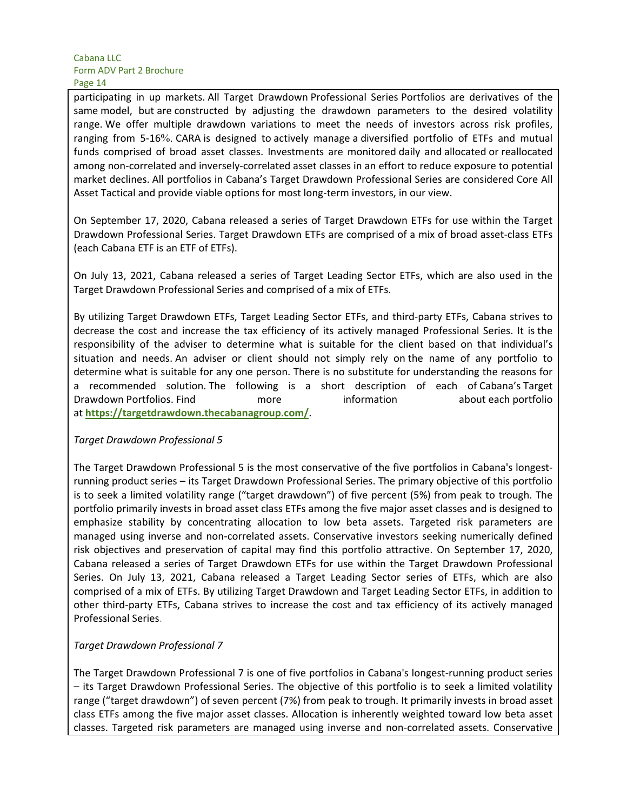participating in up markets. All Target Drawdown Professional Series Portfolios are derivatives of the same model, but are constructed by adjusting the drawdown parameters to the desired volatility range. We offer multiple drawdown variations to meet the needs of investors across risk profiles, ranging from 5-16%. CARA is designed to actively manage a diversified portfolio of ETFs and mutual funds comprised of broad asset classes. Investments are monitored daily and allocated or reallocated among non-correlated and inversely-correlated asset classes in an effort to reduce exposure to potential market declines. All portfolios in Cabana's Target Drawdown Professional Series are considered Core All Asset Tactical and provide viable options for most long-term investors, in our view.

On September 17, 2020, Cabana released a series of Target Drawdown ETFs for use within the Target Drawdown Professional Series. Target Drawdown ETFs are comprised of a mix of broad asset-class ETFs (each Cabana ETF is an ETF of ETFs).

On July 13, 2021, Cabana released a series of Target Leading Sector ETFs, which are also used in the Target Drawdown Professional Series and comprised of a mix of ETFs.

By utilizing Target Drawdown ETFs, Target Leading Sector ETFs, and third-party ETFs, Cabana strives to decrease the cost and increase the tax efficiency of its actively managed Professional Series. It is the responsibility of the adviser to determine what is suitable for the client based on that individual's situation and needs. An adviser or client should not simply rely on the name of any portfolio to determine what is suitable for any one person. There is no substitute for understanding the reasons for a recommended solution. The following is a short description of each of Cabana's Target Drawdown Portfolios. Find more information about each portfolio at **https://targetdrawdown.thecabanagroup.com/**.

#### *Target Drawdown Professional 5*

The Target Drawdown Professional 5 is the most conservative of the five portfolios in Cabana's longestrunning product series – its Target Drawdown Professional Series. The primary objective of this portfolio is to seek a limited volatility range ("target drawdown") of five percent (5%) from peak to trough. The portfolio primarily invests in broad asset class ETFs among the five major asset classes and is designed to emphasize stability by concentrating allocation to low beta assets. Targeted risk parameters are managed using inverse and non-correlated assets. Conservative investors seeking numerically defined risk objectives and preservation of capital may find this portfolio attractive. On September 17, 2020, Cabana released a series of Target Drawdown ETFs for use within the Target Drawdown Professional Series. On July 13, 2021, Cabana released a Target Leading Sector series of ETFs, which are also comprised of a mix of ETFs. By utilizing Target Drawdown and Target Leading Sector ETFs, in addition to other third-party ETFs, Cabana strives to increase the cost and tax efficiency of its actively managed Professional Series.

#### *Target Drawdown Professional 7*

The Target Drawdown Professional 7 is one of five portfolios in Cabana's longest-running product series – its Target Drawdown Professional Series. The objective of this portfolio is to seek a limited volatility range ("target drawdown") of seven percent (7%) from peak to trough. It primarily invests in broad asset class ETFs among the five major asset classes. Allocation is inherently weighted toward low beta asset classes. Targeted risk parameters are managed using inverse and non-correlated assets. Conservative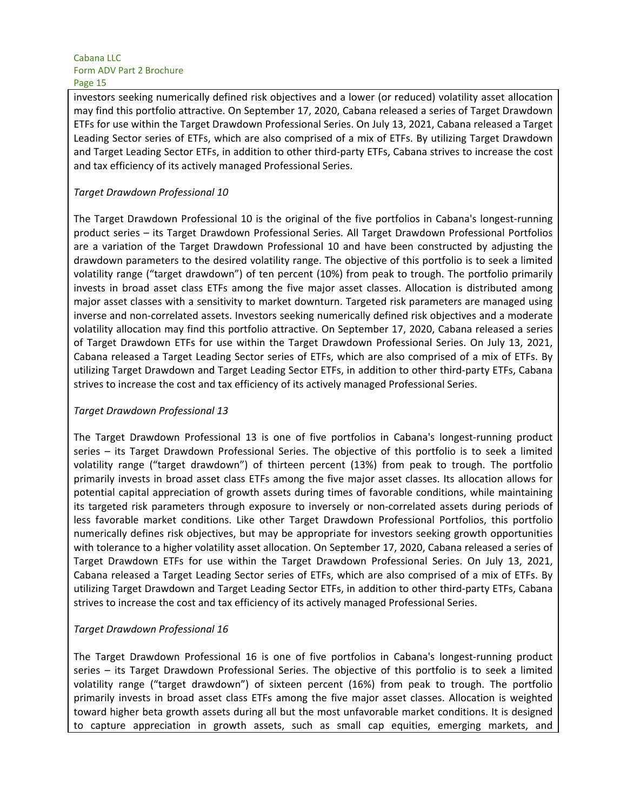investors seeking numerically defined risk objectives and a lower (or reduced) volatility asset allocation may find this portfolio attractive. On September 17, 2020, Cabana released a series of Target Drawdown ETFs for use within the Target Drawdown Professional Series. On July 13, 2021, Cabana released a Target Leading Sector series of ETFs, which are also comprised of a mix of ETFs. By utilizing Target Drawdown and Target Leading Sector ETFs, in addition to other third-party ETFs, Cabana strives to increase the cost and tax efficiency of its actively managed Professional Series.

## *Target Drawdown Professional 10*

The Target Drawdown Professional 10 is the original of the five portfolios in Cabana's longest-running product series – its Target Drawdown Professional Series. All Target Drawdown Professional Portfolios are a variation of the Target Drawdown Professional 10 and have been constructed by adjusting the drawdown parameters to the desired volatility range. The objective of this portfolio is to seek a limited volatility range ("target drawdown") of ten percent (10%) from peak to trough. The portfolio primarily invests in broad asset class ETFs among the five major asset classes. Allocation is distributed among major asset classes with a sensitivity to market downturn. Targeted risk parameters are managed using inverse and non-correlated assets. Investors seeking numerically defined risk objectives and a moderate volatility allocation may find this portfolio attractive. On September 17, 2020, Cabana released a series of Target Drawdown ETFs for use within the Target Drawdown Professional Series. On July 13, 2021, Cabana released a Target Leading Sector series of ETFs, which are also comprised of a mix of ETFs. By utilizing Target Drawdown and Target Leading Sector ETFs, in addition to other third-party ETFs, Cabana strives to increase the cost and tax efficiency of its actively managed Professional Series.

#### *Target Drawdown Professional 13*

The Target Drawdown Professional 13 is one of five portfolios in Cabana's longest-running product series – its Target Drawdown Professional Series. The objective of this portfolio is to seek a limited volatility range ("target drawdown") of thirteen percent (13%) from peak to trough. The portfolio primarily invests in broad asset class ETFs among the five major asset classes. Its allocation allows for potential capital appreciation of growth assets during times of favorable conditions, while maintaining its targeted risk parameters through exposure to inversely or non-correlated assets during periods of less favorable market conditions. Like other Target Drawdown Professional Portfolios, this portfolio numerically defines risk objectives, but may be appropriate for investors seeking growth opportunities with tolerance to a higher volatility asset allocation. On September 17, 2020, Cabana released a series of Target Drawdown ETFs for use within the Target Drawdown Professional Series. On July 13, 2021, Cabana released a Target Leading Sector series of ETFs, which are also comprised of a mix of ETFs. By utilizing Target Drawdown and Target Leading Sector ETFs, in addition to other third-party ETFs, Cabana strives to increase the cost and tax efficiency of its actively managed Professional Series.

#### *Target Drawdown Professional 16*

The Target Drawdown Professional 16 is one of five portfolios in Cabana's longest-running product series – its Target Drawdown Professional Series. The objective of this portfolio is to seek a limited volatility range ("target drawdown") of sixteen percent (16%) from peak to trough. The portfolio primarily invests in broad asset class ETFs among the five major asset classes. Allocation is weighted toward higher beta growth assets during all but the most unfavorable market conditions. It is designed to capture appreciation in growth assets, such as small cap equities, emerging markets, and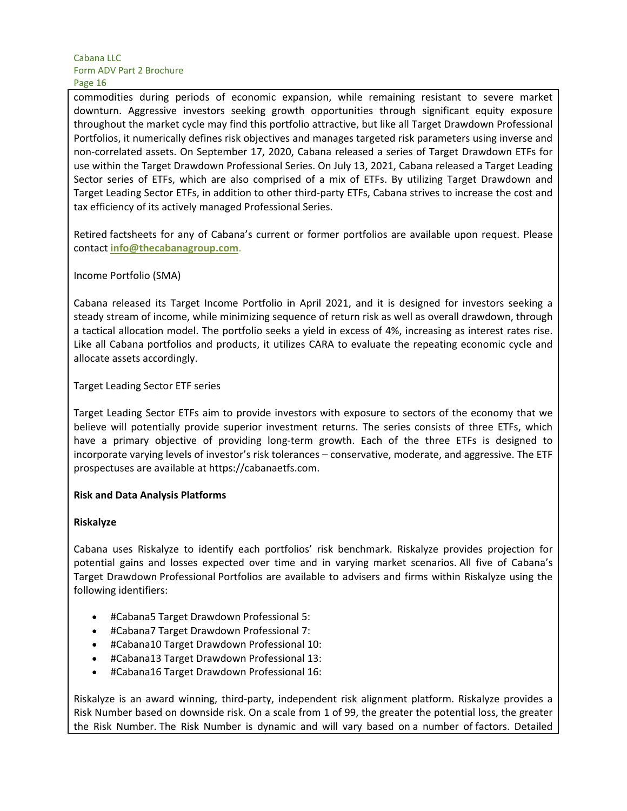commodities during periods of economic expansion, while remaining resistant to severe market downturn. Aggressive investors seeking growth opportunities through significant equity exposure throughout the market cycle may find this portfolio attractive, but like all Target Drawdown Professional Portfolios, it numerically defines risk objectives and manages targeted risk parameters using inverse and non-correlated assets. On September 17, 2020, Cabana released a series of Target Drawdown ETFs for use within the Target Drawdown Professional Series. On July 13, 2021, Cabana released a Target Leading Sector series of ETFs, which are also comprised of a mix of ETFs. By utilizing Target Drawdown and Target Leading Sector ETFs, in addition to other third-party ETFs, Cabana strives to increase the cost and tax efficiency of its actively managed Professional Series.

Retired factsheets for any of Cabana's current or former portfolios are available upon request. Please contact **info@thecabanagroup.com**.

## Income Portfolio (SMA)

Cabana released its Target Income Portfolio in April 2021, and it is designed for investors seeking a steady stream of income, while minimizing sequence of return risk as well as overall drawdown, through a tactical allocation model. The portfolio seeks a yield in excess of 4%, increasing as interest rates rise. Like all Cabana portfolios and products, it utilizes CARA to evaluate the repeating economic cycle and allocate assets accordingly.

## Target Leading Sector ETF series

Target Leading Sector ETFs aim to provide investors with exposure to sectors of the economy that we believe will potentially provide superior investment returns. The series consists of three ETFs, which have a primary objective of providing long-term growth. Each of the three ETFs is designed to incorporate varying levels of investor's risk tolerances – conservative, moderate, and aggressive. The ETF prospectuses are available at https://cabanaetfs.com.

#### **Risk and Data Analysis Platforms**

#### **Riskalyze**

Cabana uses Riskalyze to identify each portfolios' risk benchmark. Riskalyze provides projection for potential gains and losses expected over time and in varying market scenarios. All five of Cabana's Target Drawdown Professional Portfolios are available to advisers and firms within Riskalyze using the following identifiers:

- #Cabana5 Target Drawdown Professional 5:
- #Cabana7 Target Drawdown Professional 7:
- #Cabana10 Target Drawdown Professional 10:
- #Cabana13 Target Drawdown Professional 13:
- #Cabana16 Target Drawdown Professional 16:

Riskalyze is an award winning, third-party, independent risk alignment platform. Riskalyze provides a Risk Number based on downside risk. On a scale from 1 of 99, the greater the potential loss, the greater the Risk Number. The Risk Number is dynamic and will vary based on a number of factors. Detailed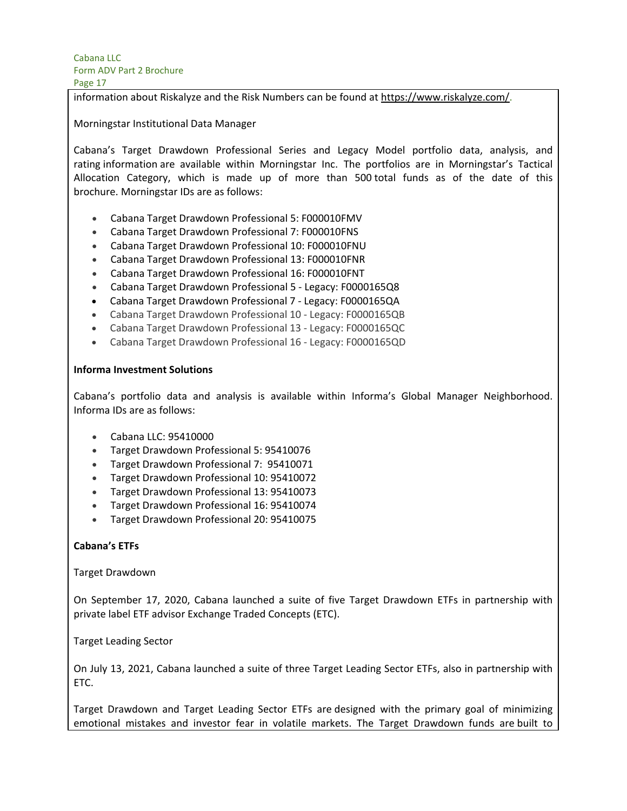information about Riskalyze and the Risk Numbers can be found at https://www.riskalyze.com/.

Morningstar Institutional Data Manager

Cabana's Target Drawdown Professional Series and Legacy Model portfolio data, analysis, and rating information are available within Morningstar Inc. The portfolios are in Morningstar's Tactical Allocation Category, which is made up of more than 500 total funds as of the date of this brochure. Morningstar IDs are as follows:

- Cabana Target Drawdown Professional 5: F000010FMV
- Cabana Target Drawdown Professional 7: F000010FNS
- Cabana Target Drawdown Professional 10: F000010FNU
- Cabana Target Drawdown Professional 13: F000010FNR
- Cabana Target Drawdown Professional 16: F000010FNT
- Cabana Target Drawdown Professional 5 Legacy: F0000165Q8
- Cabana Target Drawdown Professional 7 Legacy: F0000165QA
- Cabana Target Drawdown Professional 10 Legacy: F0000165QB
- Cabana Target Drawdown Professional 13 Legacy: F0000165QC
- Cabana Target Drawdown Professional 16 Legacy: F0000165QD

#### **Informa Investment Solutions**

Cabana's portfolio data and analysis is available within Informa's Global Manager Neighborhood. Informa IDs are as follows:

- Cabana LLC: 95410000
- Target Drawdown Professional 5: 95410076
- Target Drawdown Professional 7:  95410071
- Target Drawdown Professional 10: 95410072
- Target Drawdown Professional 13: 95410073
- Target Drawdown Professional 16: 95410074
- Target Drawdown Professional 20: 95410075

#### **Cabana's ETFs**

#### Target Drawdown

On September 17, 2020, Cabana launched a suite of five Target Drawdown ETFs in partnership with private label ETF advisor Exchange Traded Concepts (ETC).

Target Leading Sector

On July 13, 2021, Cabana launched a suite of three Target Leading Sector ETFs, also in partnership with ETC.

Target Drawdown and Target Leading Sector ETFs are designed with the primary goal of minimizing emotional mistakes and investor fear in volatile markets. The Target Drawdown funds are built to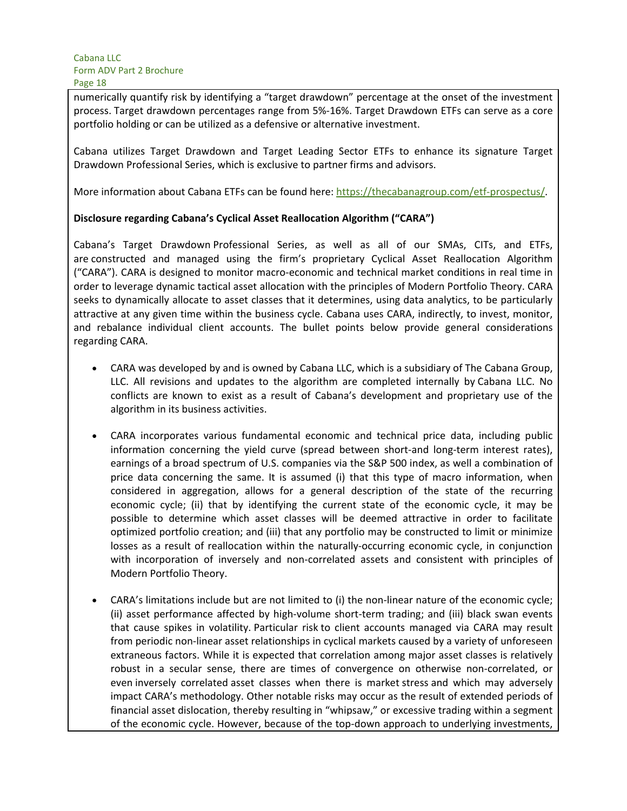numerically quantify risk by identifying a "target drawdown" percentage at the onset of the investment process. Target drawdown percentages range from 5%-16%. Target Drawdown ETFs can serve as a core portfolio holding or can be utilized as a defensive or alternative investment.

Cabana utilizes Target Drawdown and Target Leading Sector ETFs to enhance its signature Target Drawdown Professional Series, which is exclusive to partner firms and advisors.

More information about Cabana ETFs can be found here: https://thecabanagroup.com/etf-prospectus/.

## **Disclosure regarding Cabana's Cyclical Asset Reallocation Algorithm ("CARA")**

Cabana's Target Drawdown Professional Series, as well as all of our SMAs, CITs, and ETFs, are constructed and managed using the firm's proprietary Cyclical Asset Reallocation Algorithm ("CARA"). CARA is designed to monitor macro-economic and technical market conditions in real time in order to leverage dynamic tactical asset allocation with the principles of Modern Portfolio Theory. CARA seeks to dynamically allocate to asset classes that it determines, using data analytics, to be particularly attractive at any given time within the business cycle. Cabana uses CARA, indirectly, to invest, monitor, and rebalance individual client accounts. The bullet points below provide general considerations regarding CARA.

- CARA was developed by and is owned by Cabana LLC, which is a subsidiary of The Cabana Group, LLC. All revisions and updates to the algorithm are completed internally by Cabana LLC. No conflicts are known to exist as a result of Cabana's development and proprietary use of the algorithm in its business activities.
- CARA incorporates various fundamental economic and technical price data, including public information concerning the yield curve (spread between short-and long-term interest rates), earnings of a broad spectrum of U.S. companies via the S&P 500 index, as well a combination of price data concerning the same. It is assumed (i) that this type of macro information, when considered in aggregation, allows for a general description of the state of the recurring economic cycle; (ii) that by identifying the current state of the economic cycle, it may be possible to determine which asset classes will be deemed attractive in order to facilitate optimized portfolio creation; and (iii) that any portfolio may be constructed to limit or minimize losses as a result of reallocation within the naturally-occurring economic cycle, in conjunction with incorporation of inversely and non-correlated assets and consistent with principles of Modern Portfolio Theory.
- CARA's limitations include but are not limited to (i) the non-linear nature of the economic cycle; (ii) asset performance affected by high-volume short-term trading; and (iii) black swan events that cause spikes in volatility. Particular risk to client accounts managed via CARA may result from periodic non-linear asset relationships in cyclical markets caused by a variety of unforeseen extraneous factors. While it is expected that correlation among major asset classes is relatively robust in a secular sense, there are times of convergence on otherwise non-correlated, or even inversely correlated asset classes when there is market stress and which may adversely impact CARA's methodology. Other notable risks may occur as the result of extended periods of financial asset dislocation, thereby resulting in "whipsaw," or excessive trading within a segment of the economic cycle. However, because of the top-down approach to underlying investments,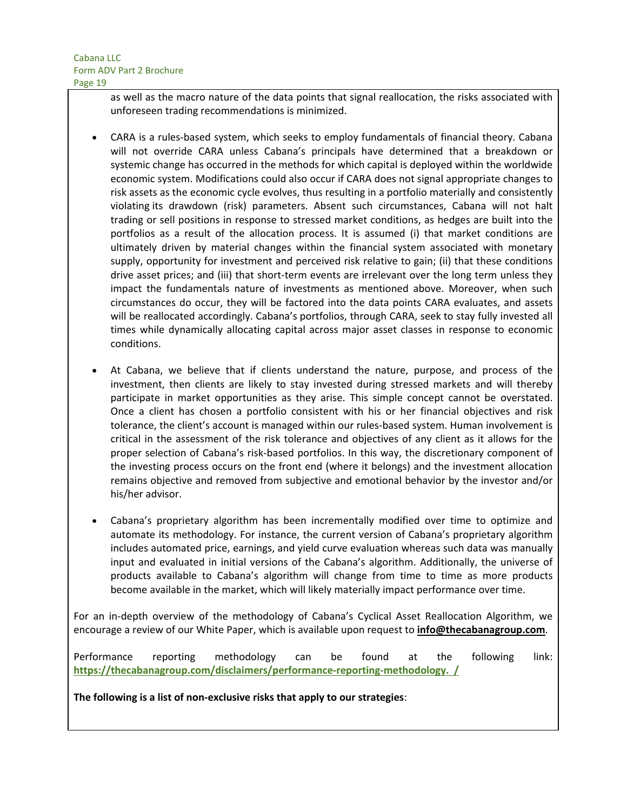as well as the macro nature of the data points that signal reallocation, the risks associated with unforeseen trading recommendations is minimized.

- CARA is a rules-based system, which seeks to employ fundamentals of financial theory. Cabana will not override CARA unless Cabana's principals have determined that a breakdown or systemic change has occurred in the methods for which capital is deployed within the worldwide economic system. Modifications could also occur if CARA does not signal appropriate changes to risk assets as the economic cycle evolves, thus resulting in a portfolio materially and consistently violating its drawdown (risk) parameters. Absent such circumstances, Cabana will not halt trading or sell positions in response to stressed market conditions, as hedges are built into the portfolios as a result of the allocation process. It is assumed (i) that market conditions are ultimately driven by material changes within the financial system associated with monetary supply, opportunity for investment and perceived risk relative to gain; (ii) that these conditions drive asset prices; and (iii) that short-term events are irrelevant over the long term unless they impact the fundamentals nature of investments as mentioned above. Moreover, when such circumstances do occur, they will be factored into the data points CARA evaluates, and assets will be reallocated accordingly. Cabana's portfolios, through CARA, seek to stay fully invested all times while dynamically allocating capital across major asset classes in response to economic conditions.
- At Cabana, we believe that if clients understand the nature, purpose, and process of the investment, then clients are likely to stay invested during stressed markets and will thereby participate in market opportunities as they arise. This simple concept cannot be overstated. Once a client has chosen a portfolio consistent with his or her financial objectives and risk tolerance, the client's account is managed within our rules-based system. Human involvement is critical in the assessment of the risk tolerance and objectives of any client as it allows for the proper selection of Cabana's risk-based portfolios. In this way, the discretionary component of the investing process occurs on the front end (where it belongs) and the investment allocation remains objective and removed from subjective and emotional behavior by the investor and/or his/her advisor.
- Cabana's proprietary algorithm has been incrementally modified over time to optimize and automate its methodology. For instance, the current version of Cabana's proprietary algorithm includes automated price, earnings, and yield curve evaluation whereas such data was manually input and evaluated in initial versions of the Cabana's algorithm. Additionally, the universe of products available to Cabana's algorithm will change from time to time as more products become available in the market, which will likely materially impact performance over time.

For an in-depth overview of the methodology of Cabana's Cyclical Asset Reallocation Algorithm, we encourage a review of our White Paper, which is available upon request to **info@thecabanagroup.com**.

Performance reporting methodology can be found at the following link: **https://thecabanagroup.com/disclaimers/performance-reporting-methodology. /**

**The following is a list of non-exclusive risks that apply to our strategies**: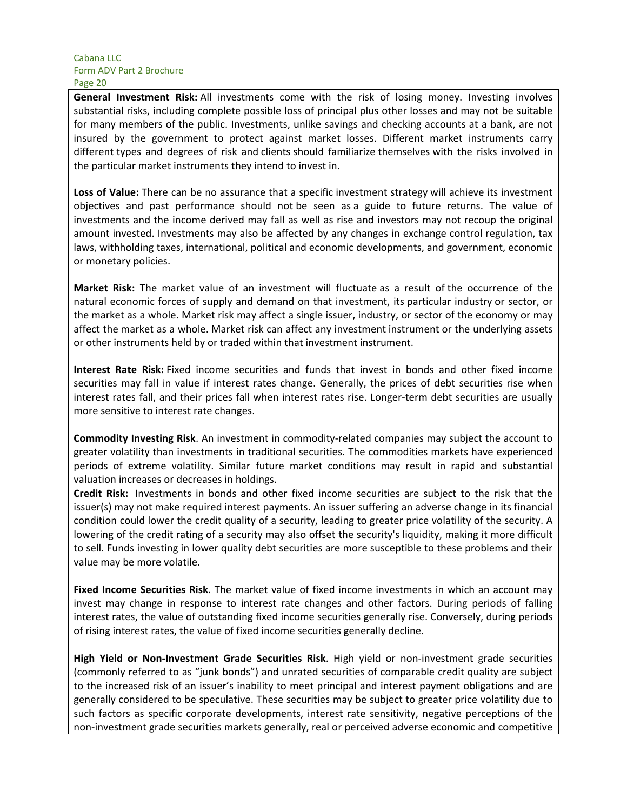**General Investment Risk:** All investments come with the risk of losing money. Investing involves substantial risks, including complete possible loss of principal plus other losses and may not be suitable for many members of the public. Investments, unlike savings and checking accounts at a bank, are not insured by the government to protect against market losses. Different market instruments carry different types and degrees of risk and clients should familiarize themselves with the risks involved in the particular market instruments they intend to invest in.

**Loss of Value:** There can be no assurance that a specific investment strategy will achieve its investment objectives and past performance should not be seen as a guide to future returns. The value of investments and the income derived may fall as well as rise and investors may not recoup the original amount invested. Investments may also be affected by any changes in exchange control regulation, tax laws, withholding taxes, international, political and economic developments, and government, economic or monetary policies.

**Market Risk:** The market value of an investment will fluctuate as a result of the occurrence of the natural economic forces of supply and demand on that investment, its particular industry or sector, or the market as a whole. Market risk may affect a single issuer, industry, or sector of the economy or may affect the market as a whole. Market risk can affect any investment instrument or the underlying assets or other instruments held by or traded within that investment instrument.

**Interest Rate Risk:** Fixed income securities and funds that invest in bonds and other fixed income securities may fall in value if interest rates change. Generally, the prices of debt securities rise when interest rates fall, and their prices fall when interest rates rise. Longer-term debt securities are usually more sensitive to interest rate changes.

**Commodity Investing Risk**. An investment in commodity-related companies may subject the account to greater volatility than investments in traditional securities. The commodities markets have experienced periods of extreme volatility. Similar future market conditions may result in rapid and substantial valuation increases or decreases in holdings.

**Credit Risk:** Investments in bonds and other fixed income securities are subject to the risk that the issuer(s) may not make required interest payments. An issuer suffering an adverse change in its financial condition could lower the credit quality of a security, leading to greater price volatility of the security. A lowering of the credit rating of a security may also offset the security's liquidity, making it more difficult to sell. Funds investing in lower quality debt securities are more susceptible to these problems and their value may be more volatile.

**Fixed Income Securities Risk**. The market value of fixed income investments in which an account may invest may change in response to interest rate changes and other factors. During periods of falling interest rates, the value of outstanding fixed income securities generally rise. Conversely, during periods of rising interest rates, the value of fixed income securities generally decline.

**High Yield or Non-Investment Grade Securities Risk**. High yield or non-investment grade securities (commonly referred to as "junk bonds") and unrated securities of comparable credit quality are subject to the increased risk of an issuer's inability to meet principal and interest payment obligations and are generally considered to be speculative. These securities may be subject to greater price volatility due to such factors as specific corporate developments, interest rate sensitivity, negative perceptions of the non-investment grade securities markets generally, real or perceived adverse economic and competitive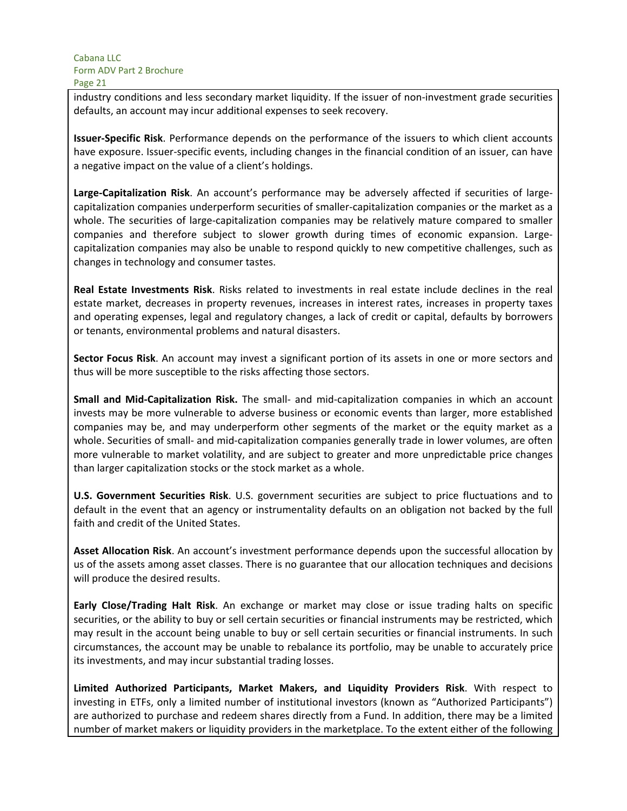industry conditions and less secondary market liquidity. If the issuer of non-investment grade securities defaults, an account may incur additional expenses to seek recovery.

**Issuer-Specific Risk**. Performance depends on the performance of the issuers to which client accounts have exposure. Issuer-specific events, including changes in the financial condition of an issuer, can have a negative impact on the value of a client's holdings.

**Large-Capitalization Risk**. An account's performance may be adversely affected if securities of largecapitalization companies underperform securities of smaller-capitalization companies or the market as a whole. The securities of large-capitalization companies may be relatively mature compared to smaller companies and therefore subject to slower growth during times of economic expansion. Largecapitalization companies may also be unable to respond quickly to new competitive challenges, such as changes in technology and consumer tastes.

**Real Estate Investments Risk**. Risks related to investments in real estate include declines in the real estate market, decreases in property revenues, increases in interest rates, increases in property taxes and operating expenses, legal and regulatory changes, a lack of credit or capital, defaults by borrowers or tenants, environmental problems and natural disasters.

**Sector Focus Risk**. An account may invest a significant portion of its assets in one or more sectors and thus will be more susceptible to the risks affecting those sectors.

**Small and Mid-Capitalization Risk.** The small- and mid-capitalization companies in which an account invests may be more vulnerable to adverse business or economic events than larger, more established companies may be, and may underperform other segments of the market or the equity market as a whole. Securities of small- and mid-capitalization companies generally trade in lower volumes, are often more vulnerable to market volatility, and are subject to greater and more unpredictable price changes than larger capitalization stocks or the stock market as a whole.

**U.S. Government Securities Risk**. U.S. government securities are subject to price fluctuations and to default in the event that an agency or instrumentality defaults on an obligation not backed by the full faith and credit of the United States.

**Asset Allocation Risk**. An account's investment performance depends upon the successful allocation by us of the assets among asset classes. There is no guarantee that our allocation techniques and decisions will produce the desired results.

**Early Close/Trading Halt Risk**. An exchange or market may close or issue trading halts on specific securities, or the ability to buy or sell certain securities or financial instruments may be restricted, which may result in the account being unable to buy or sell certain securities or financial instruments. In such circumstances, the account may be unable to rebalance its portfolio, may be unable to accurately price its investments, and may incur substantial trading losses.

**Limited Authorized Participants, Market Makers, and Liquidity Providers Risk**. With respect to investing in ETFs, only a limited number of institutional investors (known as "Authorized Participants") are authorized to purchase and redeem shares directly from a Fund. In addition, there may be a limited number of market makers or liquidity providers in the marketplace. To the extent either of the following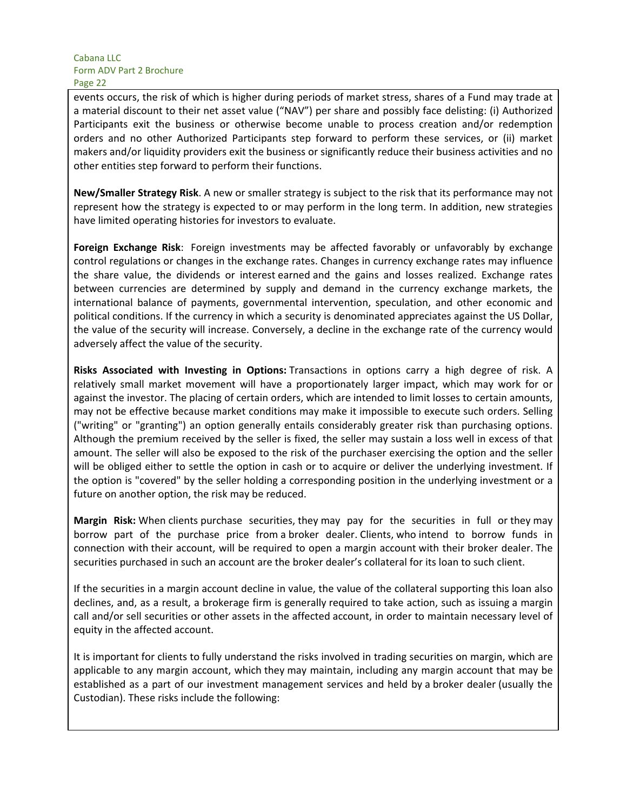events occurs, the risk of which is higher during periods of market stress, shares of a Fund may trade at a material discount to their net asset value ("NAV") per share and possibly face delisting: (i) Authorized Participants exit the business or otherwise become unable to process creation and/or redemption orders and no other Authorized Participants step forward to perform these services, or (ii) market makers and/or liquidity providers exit the business or significantly reduce their business activities and no other entities step forward to perform their functions.

**New/Smaller Strategy Risk**. A new or smaller strategy is subject to the risk that its performance may not represent how the strategy is expected to or may perform in the long term. In addition, new strategies have limited operating histories for investors to evaluate.

**Foreign Exchange Risk**: Foreign investments may be affected favorably or unfavorably by exchange control regulations or changes in the exchange rates. Changes in currency exchange rates may influence the share value, the dividends or interest earned and the gains and losses realized. Exchange rates between currencies are determined by supply and demand in the currency exchange markets, the international balance of payments, governmental intervention, speculation, and other economic and political conditions. If the currency in which a security is denominated appreciates against the US Dollar, the value of the security will increase. Conversely, a decline in the exchange rate of the currency would adversely affect the value of the security.

**Risks Associated with Investing in Options:** Transactions in options carry a high degree of risk. A relatively small market movement will have a proportionately larger impact, which may work for or against the investor. The placing of certain orders, which are intended to limit losses to certain amounts, may not be effective because market conditions may make it impossible to execute such orders. Selling ("writing" or "granting") an option generally entails considerably greater risk than purchasing options. Although the premium received by the seller is fixed, the seller may sustain a loss well in excess of that amount. The seller will also be exposed to the risk of the purchaser exercising the option and the seller will be obliged either to settle the option in cash or to acquire or deliver the underlying investment. If the option is "covered" by the seller holding a corresponding position in the underlying investment or a future on another option, the risk may be reduced.

**Margin Risk:** When clients purchase securities, they may pay for the securities in full or they may borrow part of the purchase price from a broker dealer. Clients, who intend to borrow funds in connection with their account, will be required to open a margin account with their broker dealer. The securities purchased in such an account are the broker dealer's collateral for its loan to such client.

If the securities in a margin account decline in value, the value of the collateral supporting this loan also declines, and, as a result, a brokerage firm is generally required to take action, such as issuing a margin call and/or sell securities or other assets in the affected account, in order to maintain necessary level of equity in the affected account.

It is important for clients to fully understand the risks involved in trading securities on margin, which are applicable to any margin account, which they may maintain, including any margin account that may be established as a part of our investment management services and held by a broker dealer (usually the Custodian). These risks include the following: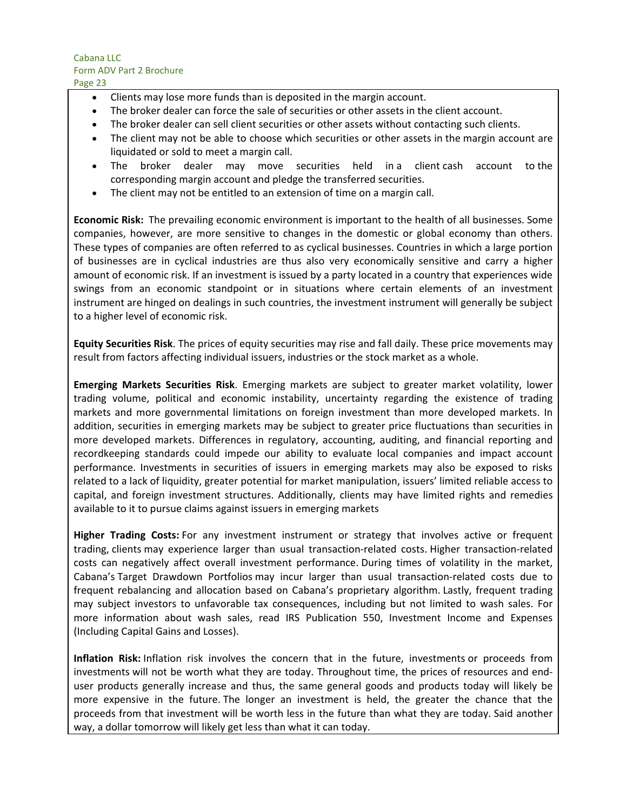- Clients may lose more funds than is deposited in the margin account.
- The broker dealer can force the sale of securities or other assets in the client account.
- The broker dealer can sell client securities or other assets without contacting such clients.
- The client may not be able to choose which securities or other assets in the margin account are liquidated or sold to meet a margin call.
- The broker dealer may move securities held in a client cash account to the corresponding margin account and pledge the transferred securities.
- The client may not be entitled to an extension of time on a margin call.

**Economic Risk:** The prevailing economic environment is important to the health of all businesses. Some companies, however, are more sensitive to changes in the domestic or global economy than others. These types of companies are often referred to as cyclical businesses. Countries in which a large portion of businesses are in cyclical industries are thus also very economically sensitive and carry a higher amount of economic risk. If an investment is issued by a party located in a country that experiences wide swings from an economic standpoint or in situations where certain elements of an investment instrument are hinged on dealings in such countries, the investment instrument will generally be subject to a higher level of economic risk.

**Equity Securities Risk**. The prices of equity securities may rise and fall daily. These price movements may result from factors affecting individual issuers, industries or the stock market as a whole.

**Emerging Markets Securities Risk**. Emerging markets are subject to greater market volatility, lower trading volume, political and economic instability, uncertainty regarding the existence of trading markets and more governmental limitations on foreign investment than more developed markets. In addition, securities in emerging markets may be subject to greater price fluctuations than securities in more developed markets. Differences in regulatory, accounting, auditing, and financial reporting and recordkeeping standards could impede our ability to evaluate local companies and impact account performance. Investments in securities of issuers in emerging markets may also be exposed to risks related to a lack of liquidity, greater potential for market manipulation, issuers' limited reliable access to capital, and foreign investment structures. Additionally, clients may have limited rights and remedies available to it to pursue claims against issuers in emerging markets

**Higher Trading Costs:** For any investment instrument or strategy that involves active or frequent trading, clients may experience larger than usual transaction-related costs. Higher transaction-related costs can negatively affect overall investment performance. During times of volatility in the market, Cabana's Target Drawdown Portfolios may incur larger than usual transaction-related costs due to frequent rebalancing and allocation based on Cabana's proprietary algorithm. Lastly, frequent trading may subject investors to unfavorable tax consequences, including but not limited to wash sales. For more information about wash sales, read IRS Publication 550, Investment Income and Expenses (Including Capital Gains and Losses).

**Inflation Risk:** Inflation risk involves the concern that in the future, investments or proceeds from investments will not be worth what they are today. Throughout time, the prices of resources and enduser products generally increase and thus, the same general goods and products today will likely be more expensive in the future. The longer an investment is held, the greater the chance that the proceeds from that investment will be worth less in the future than what they are today. Said another way, a dollar tomorrow will likely get less than what it can today.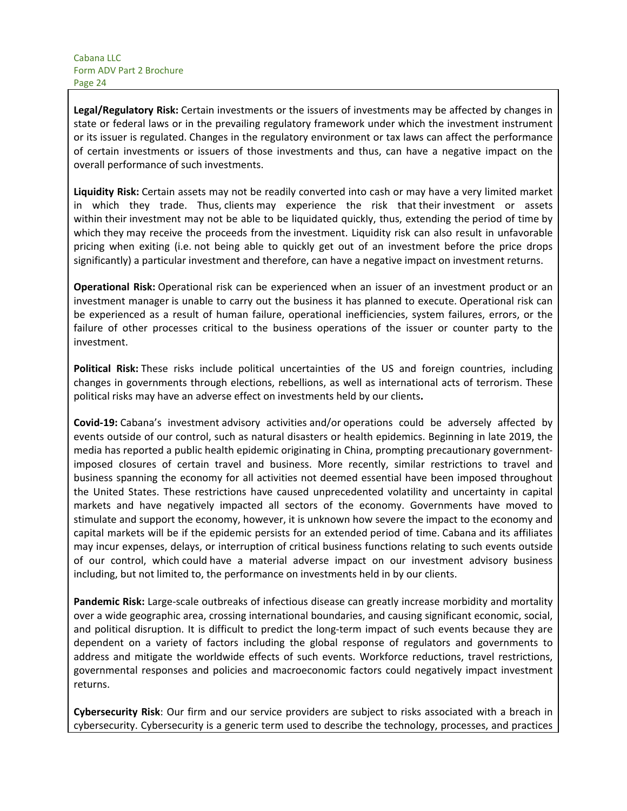**Legal/Regulatory Risk:** Certain investments or the issuers of investments may be affected by changes in state or federal laws or in the prevailing regulatory framework under which the investment instrument or its issuer is regulated. Changes in the regulatory environment or tax laws can affect the performance of certain investments or issuers of those investments and thus, can have a negative impact on the overall performance of such investments.

**Liquidity Risk:** Certain assets may not be readily converted into cash or may have a very limited market in which they trade. Thus, clients may experience the risk that their investment or assets within their investment may not be able to be liquidated quickly, thus, extending the period of time by which they may receive the proceeds from the investment. Liquidity risk can also result in unfavorable pricing when exiting (i.e. not being able to quickly get out of an investment before the price drops significantly) a particular investment and therefore, can have a negative impact on investment returns.

**Operational Risk:** Operational risk can be experienced when an issuer of an investment product or an investment manager is unable to carry out the business it has planned to execute. Operational risk can be experienced as a result of human failure, operational inefficiencies, system failures, errors, or the failure of other processes critical to the business operations of the issuer or counter party to the investment.

**Political Risk:** These risks include political uncertainties of the US and foreign countries, including changes in governments through elections, rebellions, as well as international acts of terrorism. These political risks may have an adverse effect on investments held by our clients**.**

**Covid-19:** Cabana's investment advisory activities and/or operations could be adversely affected by events outside of our control, such as natural disasters or health epidemics. Beginning in late 2019, the media has reported a public health epidemic originating in China, prompting precautionary governmentimposed closures of certain travel and business. More recently, similar restrictions to travel and business spanning the economy for all activities not deemed essential have been imposed throughout the United States. These restrictions have caused unprecedented volatility and uncertainty in capital markets and have negatively impacted all sectors of the economy. Governments have moved to stimulate and support the economy, however, it is unknown how severe the impact to the economy and capital markets will be if the epidemic persists for an extended period of time. Cabana and its affiliates may incur expenses, delays, or interruption of critical business functions relating to such events outside of our control, which could have a material adverse impact on our investment advisory business including, but not limited to, the performance on investments held in by our clients.

**Pandemic Risk:** Large-scale outbreaks of infectious disease can greatly increase morbidity and mortality over a wide geographic area, crossing international boundaries, and causing significant economic, social, and political disruption. It is difficult to predict the long-term impact of such events because they are dependent on a variety of factors including the global response of regulators and governments to address and mitigate the worldwide effects of such events. Workforce reductions, travel restrictions, governmental responses and policies and macroeconomic factors could negatively impact investment returns.

**Cybersecurity Risk**: Our firm and our service providers are subject to risks associated with a breach in cybersecurity. Cybersecurity is a generic term used to describe the technology, processes, and practices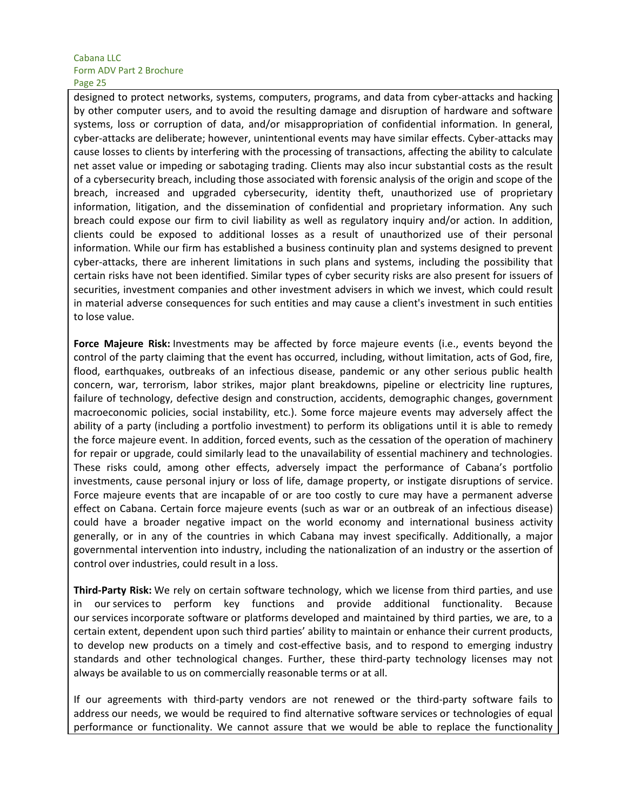designed to protect networks, systems, computers, programs, and data from cyber-attacks and hacking by other computer users, and to avoid the resulting damage and disruption of hardware and software systems, loss or corruption of data, and/or misappropriation of confidential information. In general, cyber-attacks are deliberate; however, unintentional events may have similar effects. Cyber-attacks may cause losses to clients by interfering with the processing of transactions, affecting the ability to calculate net asset value or impeding or sabotaging trading. Clients may also incur substantial costs as the result of a cybersecurity breach, including those associated with forensic analysis of the origin and scope of the breach, increased and upgraded cybersecurity, identity theft, unauthorized use of proprietary information, litigation, and the dissemination of confidential and proprietary information. Any such breach could expose our firm to civil liability as well as regulatory inquiry and/or action. In addition, clients could be exposed to additional losses as a result of unauthorized use of their personal information. While our firm has established a business continuity plan and systems designed to prevent cyber-attacks, there are inherent limitations in such plans and systems, including the possibility that certain risks have not been identified. Similar types of cyber security risks are also present for issuers of securities, investment companies and other investment advisers in which we invest, which could result in material adverse consequences for such entities and may cause a client's investment in such entities to lose value.

**Force Majeure Risk:** Investments may be affected by force majeure events (i.e., events beyond the control of the party claiming that the event has occurred, including, without limitation, acts of God, fire, flood, earthquakes, outbreaks of an infectious disease, pandemic or any other serious public health concern, war, terrorism, labor strikes, major plant breakdowns, pipeline or electricity line ruptures, failure of technology, defective design and construction, accidents, demographic changes, government macroeconomic policies, social instability, etc.). Some force majeure events may adversely affect the ability of a party (including a portfolio investment) to perform its obligations until it is able to remedy the force majeure event. In addition, forced events, such as the cessation of the operation of machinery for repair or upgrade, could similarly lead to the unavailability of essential machinery and technologies. These risks could, among other effects, adversely impact the performance of Cabana's portfolio investments, cause personal injury or loss of life, damage property, or instigate disruptions of service. Force majeure events that are incapable of or are too costly to cure may have a permanent adverse effect on Cabana. Certain force majeure events (such as war or an outbreak of an infectious disease) could have a broader negative impact on the world economy and international business activity generally, or in any of the countries in which Cabana may invest specifically. Additionally, a major governmental intervention into industry, including the nationalization of an industry or the assertion of control over industries, could result in a loss.

**Third-Party Risk:** We rely on certain software technology, which we license from third parties, and use in our services to perform key functions and provide additional functionality. Because our services incorporate software or platforms developed and maintained by third parties, we are, to a certain extent, dependent upon such third parties' ability to maintain or enhance their current products, to develop new products on a timely and cost-effective basis, and to respond to emerging industry standards and other technological changes. Further, these third-party technology licenses may not always be available to us on commercially reasonable terms or at all.

If our agreements with third-party vendors are not renewed or the third-party software fails to address our needs, we would be required to find alternative software services or technologies of equal performance or functionality. We cannot assure that we would be able to replace the functionality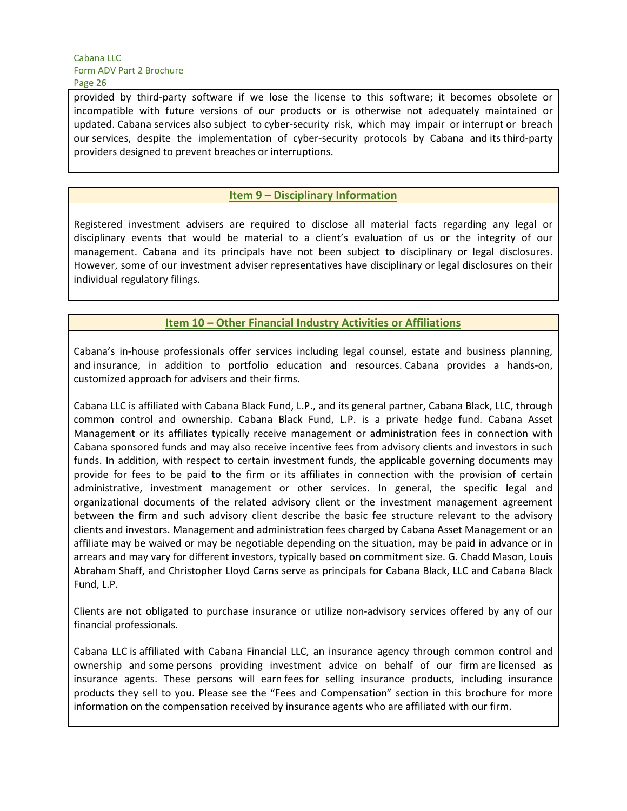provided by third-party software if we lose the license to this software; it becomes obsolete or incompatible with future versions of our products or is otherwise not adequately maintained or updated. Cabana services also subject to cyber-security risk, which may impair or interrupt or breach our services, despite the implementation of cyber-security protocols by Cabana and its third-party providers designed to prevent breaches or interruptions.

## **Item 9 – Disciplinary Information**

Registered investment advisers are required to disclose all material facts regarding any legal or disciplinary events that would be material to a client's evaluation of us or the integrity of our management. Cabana and its principals have not been subject to disciplinary or legal disclosures. However, some of our investment adviser representatives have disciplinary or legal disclosures on their individual regulatory filings.

**Item 10 – Other Financial Industry Activities or Affiliations**

Cabana's in-house professionals offer services including legal counsel, estate and business planning, and insurance, in addition to portfolio education and resources. Cabana provides a hands-on, customized approach for advisers and their firms.

Cabana LLC is affiliated with Cabana Black Fund, L.P., and its general partner, Cabana Black, LLC, through common control and ownership. Cabana Black Fund, L.P. is a private hedge fund. Cabana Asset Management or its affiliates typically receive management or administration fees in connection with Cabana sponsored funds and may also receive incentive fees from advisory clients and investors in such funds. In addition, with respect to certain investment funds, the applicable governing documents may provide for fees to be paid to the firm or its affiliates in connection with the provision of certain administrative, investment management or other services. In general, the specific legal and organizational documents of the related advisory client or the investment management agreement between the firm and such advisory client describe the basic fee structure relevant to the advisory clients and investors. Management and administration fees charged by Cabana Asset Management or an affiliate may be waived or may be negotiable depending on the situation, may be paid in advance or in arrears and may vary for different investors, typically based on commitment size. G. Chadd Mason, Louis Abraham Shaff, and Christopher Lloyd Carns serve as principals for Cabana Black, LLC and Cabana Black Fund, L.P.

Clients are not obligated to purchase insurance or utilize non-advisory services offered by any of our financial professionals.

Cabana LLC is affiliated with Cabana Financial LLC, an insurance agency through common control and ownership and some persons providing investment advice on behalf of our firm are licensed as insurance agents. These persons will earn fees for selling insurance products, including insurance products they sell to you. Please see the "Fees and Compensation" section in this brochure for more information on the compensation received by insurance agents who are affiliated with our firm.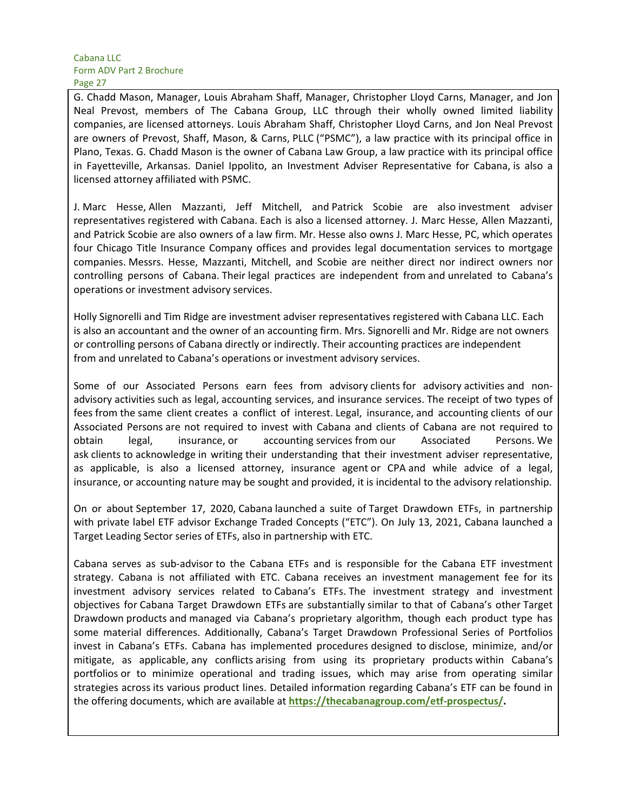G. Chadd Mason, Manager, Louis Abraham Shaff, Manager, Christopher Lloyd Carns, Manager, and Jon Neal Prevost, members of The Cabana Group, LLC through their wholly owned limited liability companies, are licensed attorneys. Louis Abraham Shaff, Christopher Lloyd Carns, and Jon Neal Prevost are owners of Prevost, Shaff, Mason, & Carns, PLLC ("PSMC"), a law practice with its principal office in Plano, Texas. G. Chadd Mason is the owner of Cabana Law Group, a law practice with its principal office in Fayetteville, Arkansas. Daniel Ippolito, an Investment Adviser Representative for Cabana, is also a licensed attorney affiliated with PSMC.

J. Marc Hesse, Allen Mazzanti, Jeff Mitchell, and Patrick Scobie are also investment adviser representatives registered with Cabana. Each is also a licensed attorney. J. Marc Hesse, Allen Mazzanti, and Patrick Scobie are also owners of a law firm. Mr. Hesse also owns J. Marc Hesse, PC, which operates four Chicago Title Insurance Company offices and provides legal documentation services to mortgage companies. Messrs. Hesse, Mazzanti, Mitchell, and Scobie are neither direct nor indirect owners nor controlling persons of Cabana. Their legal practices are independent from and unrelated to Cabana's operations or investment advisory services.

Holly Signorelli and Tim Ridge are investment adviser representatives registered with Cabana LLC. Each is also an accountant and the owner of an accounting firm. Mrs. Signorelli and Mr. Ridge are not owners or controlling persons of Cabana directly or indirectly. Their accounting practices are independent from and unrelated to Cabana's operations or investment advisory services.

Some of our Associated Persons earn fees from advisory clients for advisory activities and nonadvisory activities such as legal, accounting services, and insurance services. The receipt of two types of fees from the same client creates a conflict of interest. Legal, insurance, and accounting clients of our Associated Persons are not required to invest with Cabana and clients of Cabana are not required to obtain legal, insurance, or accounting services from our Associated Persons. We ask clients to acknowledge in writing their understanding that their investment adviser representative, as applicable, is also a licensed attorney, insurance agent or CPA and while advice of a legal, insurance, or accounting nature may be sought and provided, it is incidental to the advisory relationship.

On or about September 17, 2020, Cabana launched a suite of Target Drawdown ETFs, in partnership with private label ETF advisor Exchange Traded Concepts ("ETC"). On July 13, 2021, Cabana launched a Target Leading Sector series of ETFs, also in partnership with ETC.

Cabana serves as sub-advisor to the Cabana ETFs and is responsible for the Cabana ETF investment strategy. Cabana is not affiliated with ETC. Cabana receives an investment management fee for its investment advisory services related to Cabana's ETFs. The investment strategy and investment objectives for Cabana Target Drawdown ETFs are substantially similar to that of Cabana's other Target Drawdown products and managed via Cabana's proprietary algorithm, though each product type has some material differences. Additionally, Cabana's Target Drawdown Professional Series of Portfolios invest in Cabana's ETFs. Cabana has implemented procedures designed to disclose, minimize, and/or mitigate, as applicable, any conflicts arising from using its proprietary products within Cabana's portfolios or to minimize operational and trading issues, which may arise from operating similar strategies across its various product lines. Detailed information regarding Cabana's ETF can be found in the offering documents, which are available at **https://thecabanagroup.com/etf-prospectus/.**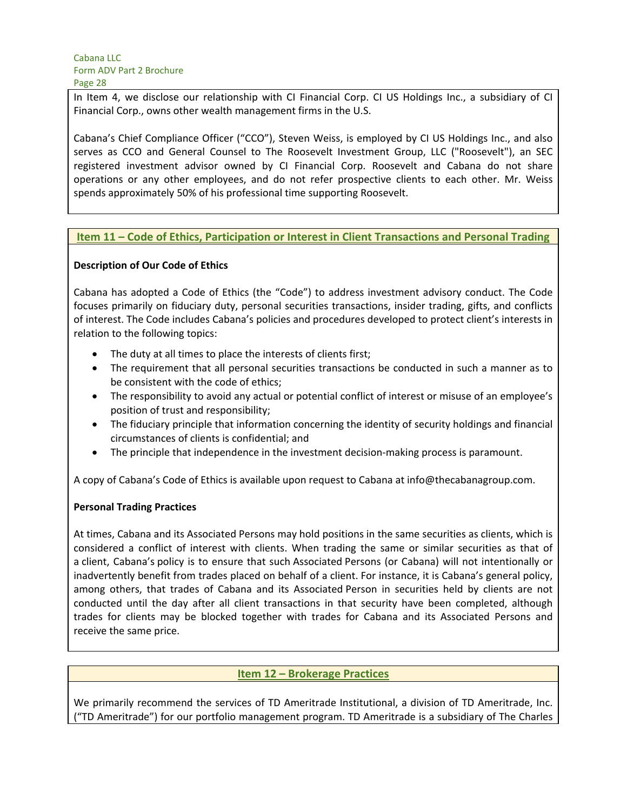In Item 4, we disclose our relationship with CI Financial Corp. CI US Holdings Inc., a subsidiary of CI Financial Corp., owns other wealth management firms in the U.S.

Cabana's Chief Compliance Officer ("CCO"), Steven Weiss, is employed by CI US Holdings Inc., and also serves as CCO and General Counsel to The Roosevelt Investment Group, LLC ("Roosevelt"), an SEC registered investment advisor owned by CI Financial Corp. Roosevelt and Cabana do not share operations or any other employees, and do not refer prospective clients to each other. Mr. Weiss spends approximately 50% of his professional time supporting Roosevelt.

#### **Item 11 – Code of Ethics, Participation or Interest in Client Transactions and Personal Trading**

#### **Description of Our Code of Ethics**

Cabana has adopted a Code of Ethics (the "Code") to address investment advisory conduct. The Code focuses primarily on fiduciary duty, personal securities transactions, insider trading, gifts, and conflicts of interest. The Code includes Cabana's policies and procedures developed to protect client's interests in relation to the following topics:

- The duty at all times to place the interests of clients first;
- The requirement that all personal securities transactions be conducted in such a manner as to be consistent with the code of ethics;
- The responsibility to avoid any actual or potential conflict of interest or misuse of an employee's position of trust and responsibility;
- The fiduciary principle that information concerning the identity of security holdings and financial circumstances of clients is confidential; and
- The principle that independence in the investment decision-making process is paramount.

A copy of Cabana's Code of Ethics is available upon request to Cabana at info@thecabanagroup.com.

#### **Personal Trading Practices**

At times, Cabana and its Associated Persons may hold positions in the same securities as clients, which is considered a conflict of interest with clients. When trading the same or similar securities as that of a client, Cabana's policy is to ensure that such Associated Persons (or Cabana) will not intentionally or inadvertently benefit from trades placed on behalf of a client. For instance, it is Cabana's general policy, among others, that trades of Cabana and its Associated Person in securities held by clients are not conducted until the day after all client transactions in that security have been completed, although trades for clients may be blocked together with trades for Cabana and its Associated Persons and receive the same price.

## **Item 12 – Brokerage Practices**

We primarily recommend the services of TD Ameritrade Institutional, a division of TD Ameritrade, Inc. ("TD Ameritrade") for our portfolio management program. TD Ameritrade is a subsidiary of The Charles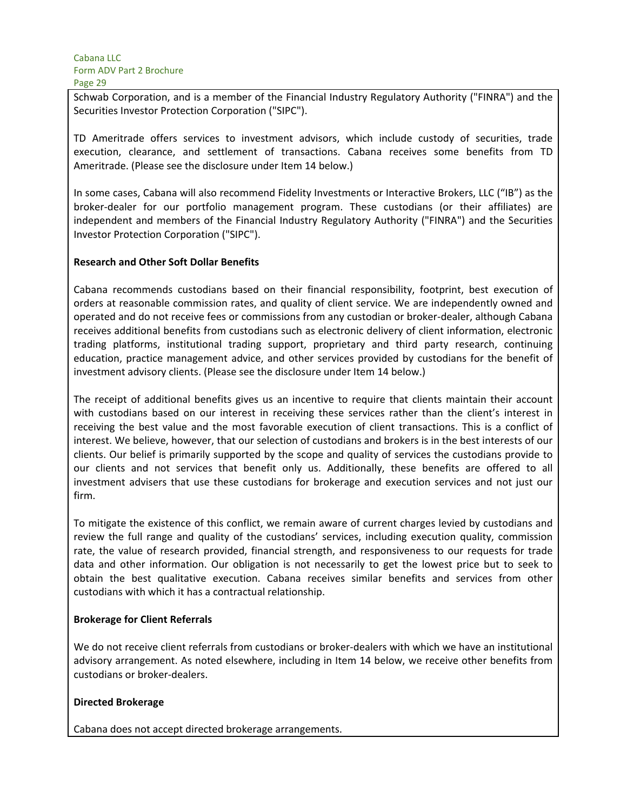Schwab Corporation, and is a member of the Financial Industry Regulatory Authority ("FINRA") and the Securities Investor Protection Corporation ("SIPC").

TD Ameritrade offers services to investment advisors, which include custody of securities, trade execution, clearance, and settlement of transactions. Cabana receives some benefits from TD Ameritrade. (Please see the disclosure under Item 14 below.)

In some cases, Cabana will also recommend Fidelity Investments or Interactive Brokers, LLC ("IB") as the broker-dealer for our portfolio management program. These custodians (or their affiliates) are independent and members of the Financial Industry Regulatory Authority ("FINRA") and the Securities Investor Protection Corporation ("SIPC").

#### **Research and Other Soft Dollar Benefits**

Cabana recommends custodians based on their financial responsibility, footprint, best execution of orders at reasonable commission rates, and quality of client service. We are independently owned and operated and do not receive fees or commissions from any custodian or broker-dealer, although Cabana receives additional benefits from custodians such as electronic delivery of client information, electronic trading platforms, institutional trading support, proprietary and third party research, continuing education, practice management advice, and other services provided by custodians for the benefit of investment advisory clients. (Please see the disclosure under Item 14 below.)

The receipt of additional benefits gives us an incentive to require that clients maintain their account with custodians based on our interest in receiving these services rather than the client's interest in receiving the best value and the most favorable execution of client transactions. This is a conflict of interest. We believe, however, that our selection of custodians and brokers is in the best interests of our clients. Our belief is primarily supported by the scope and quality of services the custodians provide to our clients and not services that benefit only us. Additionally, these benefits are offered to all investment advisers that use these custodians for brokerage and execution services and not just our firm.

To mitigate the existence of this conflict, we remain aware of current charges levied by custodians and review the full range and quality of the custodians' services, including execution quality, commission rate, the value of research provided, financial strength, and responsiveness to our requests for trade data and other information. Our obligation is not necessarily to get the lowest price but to seek to obtain the best qualitative execution. Cabana receives similar benefits and services from other custodians with which it has a contractual relationship.

#### **Brokerage for Client Referrals**

We do not receive client referrals from custodians or broker-dealers with which we have an institutional advisory arrangement. As noted elsewhere, including in Item 14 below, we receive other benefits from custodians or broker-dealers.

#### **Directed Brokerage**

Cabana does not accept directed brokerage arrangements.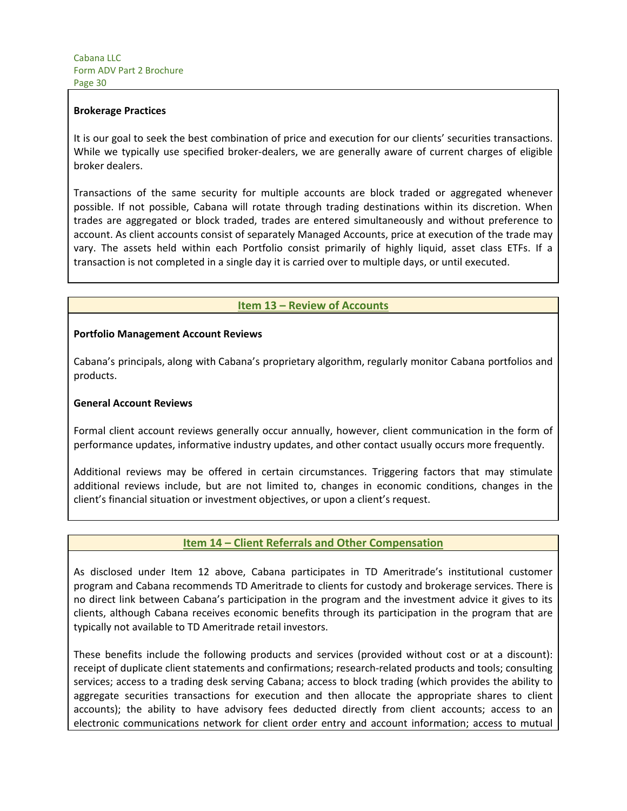#### **Brokerage Practices**

It is our goal to seek the best combination of price and execution for our clients' securities transactions. While we typically use specified broker-dealers, we are generally aware of current charges of eligible broker dealers.

Transactions of the same security for multiple accounts are block traded or aggregated whenever possible. If not possible, Cabana will rotate through trading destinations within its discretion. When trades are aggregated or block traded, trades are entered simultaneously and without preference to account. As client accounts consist of separately Managed Accounts, price at execution of the trade may vary. The assets held within each Portfolio consist primarily of highly liquid, asset class ETFs. If a transaction is not completed in a single day it is carried over to multiple days, or until executed.

## **Item 13 – Review of Accounts**

#### **Portfolio Management Account Reviews**

Cabana's principals, along with Cabana's proprietary algorithm, regularly monitor Cabana portfolios and products.

#### **General Account Reviews**

Formal client account reviews generally occur annually, however, client communication in the form of performance updates, informative industry updates, and other contact usually occurs more frequently.

Additional reviews may be offered in certain circumstances. Triggering factors that may stimulate additional reviews include, but are not limited to, changes in economic conditions, changes in the client's financial situation or investment objectives, or upon a client's request.

#### **Item 14 – Client Referrals and Other Compensation**

As disclosed under Item 12 above, Cabana participates in TD Ameritrade's institutional customer program and Cabana recommends TD Ameritrade to clients for custody and brokerage services. There is no direct link between Cabana's participation in the program and the investment advice it gives to its clients, although Cabana receives economic benefits through its participation in the program that are typically not available to TD Ameritrade retail investors.

These benefits include the following products and services (provided without cost or at a discount): receipt of duplicate client statements and confirmations; research-related products and tools; consulting services; access to a trading desk serving Cabana; access to block trading (which provides the ability to aggregate securities transactions for execution and then allocate the appropriate shares to client accounts); the ability to have advisory fees deducted directly from client accounts; access to an electronic communications network for client order entry and account information; access to mutual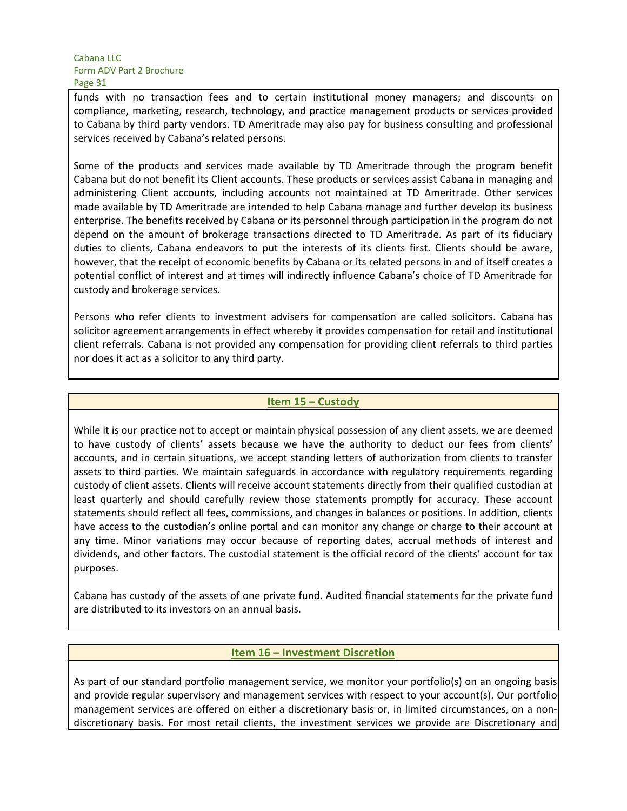funds with no transaction fees and to certain institutional money managers; and discounts on compliance, marketing, research, technology, and practice management products or services provided to Cabana by third party vendors. TD Ameritrade may also pay for business consulting and professional services received by Cabana's related persons.

Some of the products and services made available by TD Ameritrade through the program benefit Cabana but do not benefit its Client accounts. These products or services assist Cabana in managing and administering Client accounts, including accounts not maintained at TD Ameritrade. Other services made available by TD Ameritrade are intended to help Cabana manage and further develop its business enterprise. The benefits received by Cabana or its personnel through participation in the program do not depend on the amount of brokerage transactions directed to TD Ameritrade. As part of its fiduciary duties to clients, Cabana endeavors to put the interests of its clients first. Clients should be aware, however, that the receipt of economic benefits by Cabana or its related persons in and of itself creates a potential conflict of interest and at times will indirectly influence Cabana's choice of TD Ameritrade for custody and brokerage services.

Persons who refer clients to investment advisers for compensation are called solicitors. Cabana has solicitor agreement arrangements in effect whereby it provides compensation for retail and institutional client referrals. Cabana is not provided any compensation for providing client referrals to third parties nor does it act as a solicitor to any third party.

## **Item 15 – Custody**

While it is our practice not to accept or maintain physical possession of any client assets, we are deemed to have custody of clients' assets because we have the authority to deduct our fees from clients' accounts, and in certain situations, we accept standing letters of authorization from clients to transfer assets to third parties. We maintain safeguards in accordance with regulatory requirements regarding custody of client assets. Clients will receive account statements directly from their qualified custodian at least quarterly and should carefully review those statements promptly for accuracy. These account statements should reflect all fees, commissions, and changes in balances or positions. In addition, clients have access to the custodian's online portal and can monitor any change or charge to their account at any time. Minor variations may occur because of reporting dates, accrual methods of interest and dividends, and other factors. The custodial statement is the official record of the clients' account for tax purposes.

Cabana has custody of the assets of one private fund. Audited financial statements for the private fund are distributed to its investors on an annual basis.

#### **Item 16 – Investment Discretion**

As part of our standard portfolio management service, we monitor your portfolio(s) on an ongoing basis and provide regular supervisory and management services with respect to your account(s). Our portfolio management services are offered on either a discretionary basis or, in limited circumstances, on a nondiscretionary basis. For most retail clients, the investment services we provide are Discretionary and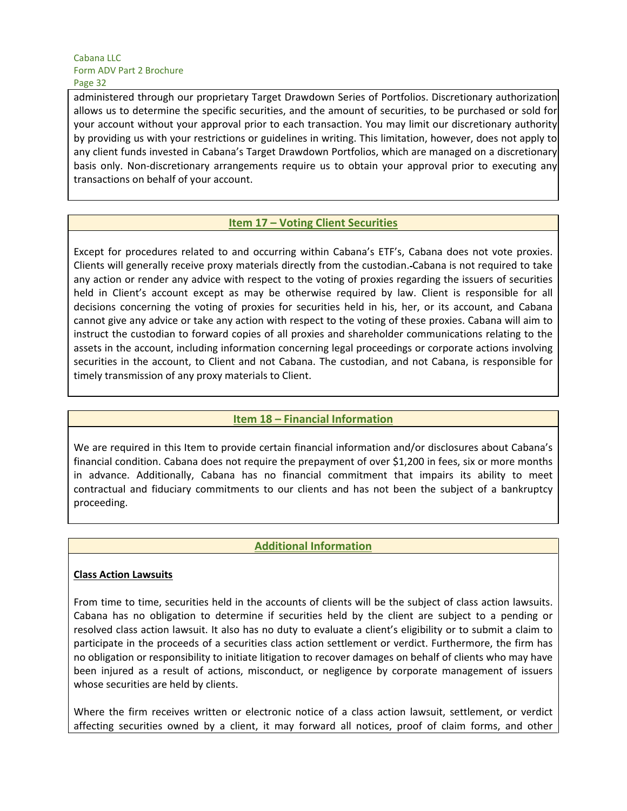administered through our proprietary Target Drawdown Series of Portfolios. Discretionary authorization allows us to determine the specific securities, and the amount of securities, to be purchased or sold for your account without your approval prior to each transaction. You may limit our discretionary authority by providing us with your restrictions or guidelines in writing. This limitation, however, does not apply to any client funds invested in Cabana's Target Drawdown Portfolios, which are managed on a discretionary basis only. Non-discretionary arrangements require us to obtain your approval prior to executing any transactions on behalf of your account.

## **Item 17 – Voting Client Securities**

Except for procedures related to and occurring within Cabana's ETF's, Cabana does not vote proxies. Clients will generally receive proxy materials directly from the custodian. Cabana is not required to take any action or render any advice with respect to the voting of proxies regarding the issuers of securities held in Client's account except as may be otherwise required by law. Client is responsible for all decisions concerning the voting of proxies for securities held in his, her, or its account, and Cabana cannot give any advice or take any action with respect to the voting of these proxies. Cabana will aim to instruct the custodian to forward copies of all proxies and shareholder communications relating to the assets in the account, including information concerning legal proceedings or corporate actions involving securities in the account, to Client and not Cabana. The custodian, and not Cabana, is responsible for timely transmission of any proxy materials to Client.

## **Item 18 – Financial Information**

We are required in this Item to provide certain financial information and/or disclosures about Cabana's financial condition. Cabana does not require the prepayment of over \$1,200 in fees, six or more months in advance. Additionally, Cabana has no financial commitment that impairs its ability to meet contractual and fiduciary commitments to our clients and has not been the subject of a bankruptcy proceeding.

## **Additional Information**

#### **Class Action Lawsuits**

From time to time, securities held in the accounts of clients will be the subject of class action lawsuits. Cabana has no obligation to determine if securities held by the client are subject to a pending or resolved class action lawsuit. It also has no duty to evaluate a client's eligibility or to submit a claim to participate in the proceeds of a securities class action settlement or verdict. Furthermore, the firm has no obligation or responsibility to initiate litigation to recover damages on behalf of clients who may have been injured as a result of actions, misconduct, or negligence by corporate management of issuers whose securities are held by clients.

Where the firm receives written or electronic notice of a class action lawsuit, settlement, or verdict affecting securities owned by a client, it may forward all notices, proof of claim forms, and other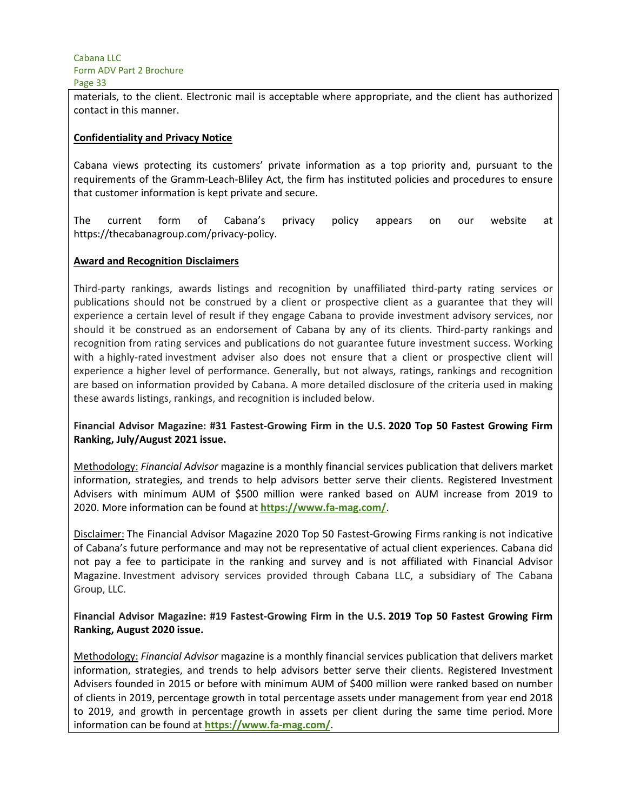materials, to the client. Electronic mail is acceptable where appropriate, and the client has authorized contact in this manner.

#### **Confidentiality and Privacy Notice**

Cabana views protecting its customers' private information as a top priority and, pursuant to the requirements of the Gramm-Leach-Bliley Act, the firm has instituted policies and procedures to ensure that customer information is kept private and secure.

The current form of Cabana's privacy policy appears on our website at https://thecabanagroup.com/privacy-policy.

#### **Award and Recognition Disclaimers**

Third-party rankings, awards listings and recognition by unaffiliated third-party rating services or publications should not be construed by a client or prospective client as a guarantee that they will experience a certain level of result if they engage Cabana to provide investment advisory services, nor should it be construed as an endorsement of Cabana by any of its clients. Third-party rankings and recognition from rating services and publications do not guarantee future investment success. Working with a highly-rated investment adviser also does not ensure that a client or prospective client will experience a higher level of performance. Generally, but not always, ratings, rankings and recognition are based on information provided by Cabana. A more detailed disclosure of the criteria used in making these awards listings, rankings, and recognition is included below.

## **Financial Advisor Magazine: #31 Fastest-Growing Firm in the U.S. 2020 Top 50 Fastest Growing Firm Ranking, July/August 2021 issue.**

Methodology: *Financial Advisor* magazine is a monthly financial services publication that delivers market information, strategies, and trends to help advisors better serve their clients. Registered Investment Advisers with minimum AUM of \$500 million were ranked based on AUM increase from 2019 to 2020. More information can be found at **https://www.fa-mag.com/**.

Disclaimer: The Financial Advisor Magazine 2020 Top 50 Fastest-Growing Firms ranking is not indicative of Cabana's future performance and may not be representative of actual client experiences. Cabana did not pay a fee to participate in the ranking and survey and is not affiliated with Financial Advisor Magazine. Investment advisory services provided through Cabana LLC, a subsidiary of The Cabana Group, LLC.

## **Financial Advisor Magazine: #19 Fastest-Growing Firm in the U.S. 2019 Top 50 Fastest Growing Firm Ranking, August 2020 issue.**

Methodology: *Financial Advisor* magazine is a monthly financial services publication that delivers market information, strategies, and trends to help advisors better serve their clients. Registered Investment Advisers founded in 2015 or before with minimum AUM of \$400 million were ranked based on number of clients in 2019, percentage growth in total percentage assets under management from year end 2018 to 2019, and growth in percentage growth in assets per client during the same time period. More information can be found at **https://www.fa-mag.com/**.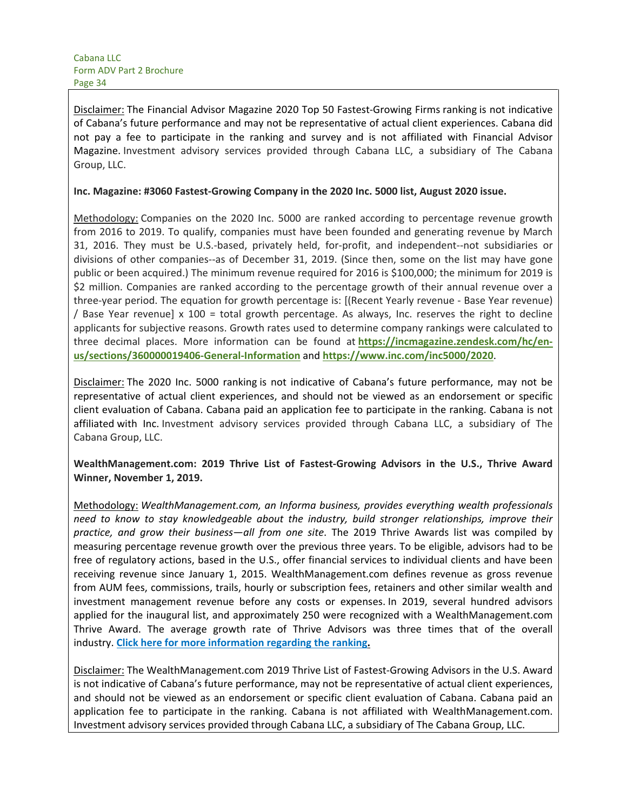Disclaimer: The Financial Advisor Magazine 2020 Top 50 Fastest-Growing Firms ranking is not indicative of Cabana's future performance and may not be representative of actual client experiences. Cabana did not pay a fee to participate in the ranking and survey and is not affiliated with Financial Advisor Magazine. Investment advisory services provided through Cabana LLC, a subsidiary of The Cabana Group, LLC.

#### **Inc. Magazine: #3060 Fastest-Growing Company in the 2020 Inc. 5000 list, August 2020 issue.**

Methodology: Companies on the 2020 Inc. 5000 are ranked according to percentage revenue growth from 2016 to 2019. To qualify, companies must have been founded and generating revenue by March 31, 2016. They must be U.S.-based, privately held, for-profit, and independent--not subsidiaries or divisions of other companies--as of December 31, 2019. (Since then, some on the list may have gone public or been acquired.) The minimum revenue required for 2016 is \$100,000; the minimum for 2019 is \$2 million. Companies are ranked according to the percentage growth of their annual revenue over a three-year period. The equation for growth percentage is: [(Recent Yearly revenue - Base Year revenue) / Base Year revenue] x 100 = total growth percentage. As always, Inc. reserves the right to decline applicants for subjective reasons. Growth rates used to determine company rankings were calculated to three decimal places. More information can be found at **https://incmagazine.zendesk.com/hc/enus/sections/360000019406-General-Information** and **https://www.inc.com/inc5000/2020**.

Disclaimer: The 2020 Inc. 5000 ranking is not indicative of Cabana's future performance, may not be representative of actual client experiences, and should not be viewed as an endorsement or specific client evaluation of Cabana. Cabana paid an application fee to participate in the ranking. Cabana is not affiliated with Inc. Investment advisory services provided through Cabana LLC, a subsidiary of The Cabana Group, LLC.

**WealthManagement.com: 2019 Thrive List of Fastest-Growing Advisors in the U.S., Thrive Award Winner, November 1, 2019.**

Methodology: *WealthManagement.com, an Informa business, provides everything wealth professionals need to know to stay knowledgeable about the industry, build stronger relationships, improve their practice, and grow their business—all from one site*. The 2019 Thrive Awards list was compiled by measuring percentage revenue growth over the previous three years. To be eligible, advisors had to be free of regulatory actions, based in the U.S., offer financial services to individual clients and have been receiving revenue since January 1, 2015. WealthManagement.com defines revenue as gross revenue from AUM fees, commissions, trails, hourly or subscription fees, retainers and other similar wealth and investment management revenue before any costs or expenses. In 2019, several hundred advisors applied for the inaugural list, and approximately 250 were recognized with a WealthManagement.com Thrive Award. The average growth rate of Thrive Advisors was three times that of the overall industry. **Click here for more information regarding the ranking.**

Disclaimer: The WealthManagement.com 2019 Thrive List of Fastest-Growing Advisors in the U.S. Award is not indicative of Cabana's future performance, may not be representative of actual client experiences, and should not be viewed as an endorsement or specific client evaluation of Cabana. Cabana paid an application fee to participate in the ranking. Cabana is not affiliated with WealthManagement.com. Investment advisory services provided through Cabana LLC, a subsidiary of The Cabana Group, LLC.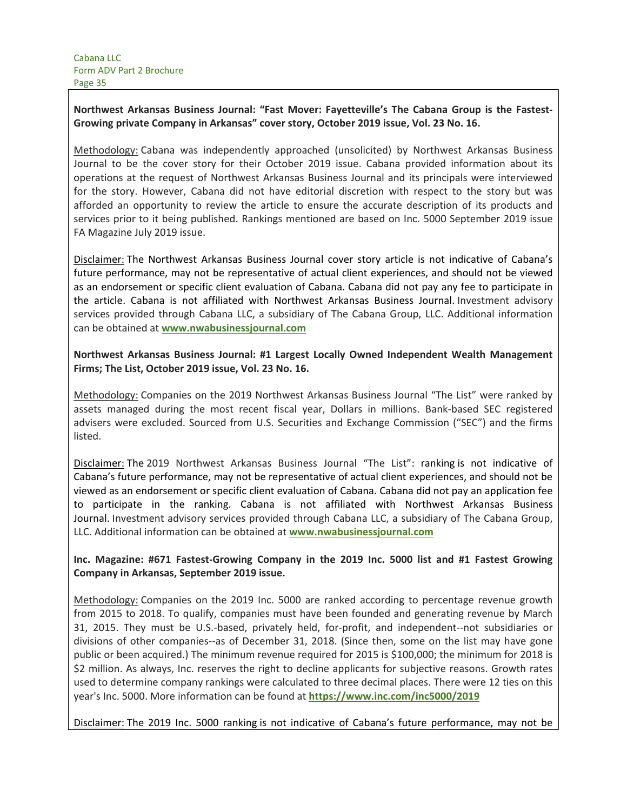## **Northwest Arkansas Business Journal: "Fast Mover: Fayetteville's The Cabana Group is the Fastest-Growing private Company in Arkansas" cover story, October 2019 issue, Vol. 23 No. 16.**

Methodology: Cabana was independently approached (unsolicited) by Northwest Arkansas Business Journal to be the cover story for their October 2019 issue. Cabana provided information about its operations at the request of Northwest Arkansas Business Journal and its principals were interviewed for the story. However, Cabana did not have editorial discretion with respect to the story but was afforded an opportunity to review the article to ensure the accurate description of its products and services prior to it being published. Rankings mentioned are based on Inc. 5000 September 2019 issue FA Magazine July 2019 issue.

Disclaimer: The Northwest Arkansas Business Journal cover story article is not indicative of Cabana's future performance, may not be representative of actual client experiences, and should not be viewed as an endorsement or specific client evaluation of Cabana. Cabana did not pay any fee to participate in the article. Cabana is not affiliated with Northwest Arkansas Business Journal. Investment advisory services provided through Cabana LLC, a subsidiary of The Cabana Group, LLC. Additional information can be obtained at **www.nwabusinessjournal.com**

## **Northwest Arkansas Business Journal: #1 Largest Locally Owned Independent Wealth Management Firms; The List, October 2019 issue, Vol. 23 No. 16.**

Methodology: Companies on the 2019 Northwest Arkansas Business Journal "The List" were ranked by assets managed during the most recent fiscal year, Dollars in millions. Bank-based SEC registered advisers were excluded. Sourced from U.S. Securities and Exchange Commission ("SEC") and the firms listed.

Disclaimer: The 2019 Northwest Arkansas Business Journal "The List": ranking is not indicative of Cabana's future performance, may not be representative of actual client experiences, and should not be viewed as an endorsement or specific client evaluation of Cabana. Cabana did not pay an application fee to participate in the ranking. Cabana is not affiliated with Northwest Arkansas Business Journal. Investment advisory services provided through Cabana LLC, a subsidiary of The Cabana Group, LLC. Additional information can be obtained at **www.nwabusinessjournal.com**

## **Inc. Magazine: #671 Fastest-Growing Company in the 2019 Inc. 5000 list and #1 Fastest Growing Company in Arkansas, September 2019 issue.**

Methodology: Companies on the 2019 Inc. 5000 are ranked according to percentage revenue growth from 2015 to 2018. To qualify, companies must have been founded and generating revenue by March 31, 2015. They must be U.S.-based, privately held, for-profit, and independent--not subsidiaries or divisions of other companies--as of December 31, 2018. (Since then, some on the list may have gone public or been acquired.) The minimum revenue required for 2015 is \$100,000; the minimum for 2018 is \$2 million. As always, Inc. reserves the right to decline applicants for subjective reasons. Growth rates used to determine company rankings were calculated to three decimal places. There were 12 ties on this year's Inc. 5000. More information can be found at **https://www.inc.com/inc5000/2019**

Disclaimer: The 2019 Inc. 5000 ranking is not indicative of Cabana's future performance, may not be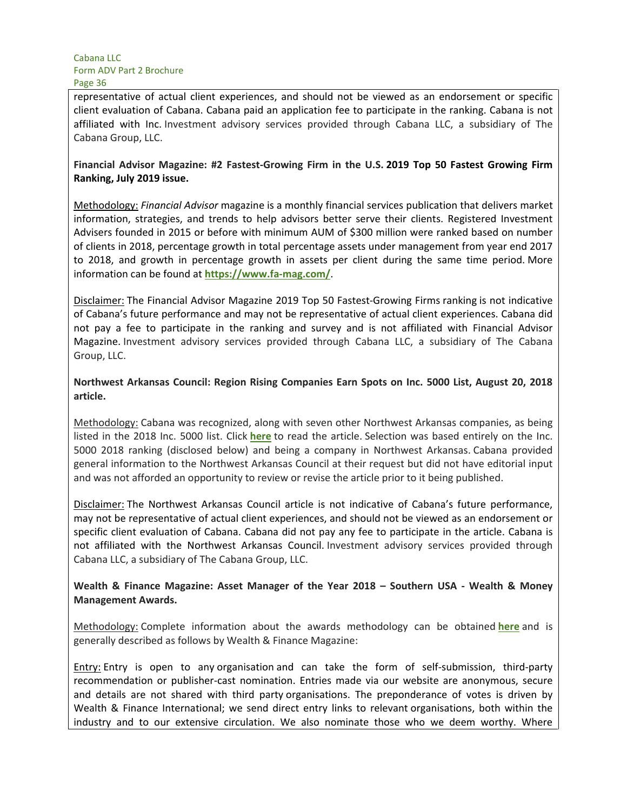representative of actual client experiences, and should not be viewed as an endorsement or specific client evaluation of Cabana. Cabana paid an application fee to participate in the ranking. Cabana is not affiliated with Inc. Investment advisory services provided through Cabana LLC, a subsidiary of The Cabana Group, LLC.

#### **Financial Advisor Magazine: #2 Fastest-Growing Firm in the U.S. 2019 Top 50 Fastest Growing Firm Ranking, July 2019 issue.**

Methodology: *Financial Advisor* magazine is a monthly financial services publication that delivers market information, strategies, and trends to help advisors better serve their clients. Registered Investment Advisers founded in 2015 or before with minimum AUM of \$300 million were ranked based on number of clients in 2018, percentage growth in total percentage assets under management from year end 2017 to 2018, and growth in percentage growth in assets per client during the same time period. More information can be found at **https://www.fa-mag.com/**. 

Disclaimer: The Financial Advisor Magazine 2019 Top 50 Fastest-Growing Firms ranking is not indicative of Cabana's future performance and may not be representative of actual client experiences. Cabana did not pay a fee to participate in the ranking and survey and is not affiliated with Financial Advisor Magazine. Investment advisory services provided through Cabana LLC, a subsidiary of The Cabana Group, LLC.

## **Northwest Arkansas Council: Region Rising Companies Earn Spots on Inc. 5000 List, August 20, 2018 article.**

Methodology: Cabana was recognized, along with seven other Northwest Arkansas companies, as being listed in the 2018 Inc. 5000 list. Click **here** to read the article. Selection was based entirely on the Inc. 5000 2018 ranking (disclosed below) and being a company in Northwest Arkansas. Cabana provided general information to the Northwest Arkansas Council at their request but did not have editorial input and was not afforded an opportunity to review or revise the article prior to it being published.

Disclaimer: The Northwest Arkansas Council article is not indicative of Cabana's future performance, may not be representative of actual client experiences, and should not be viewed as an endorsement or specific client evaluation of Cabana. Cabana did not pay any fee to participate in the article. Cabana is not affiliated with the Northwest Arkansas Council. Investment advisory services provided through Cabana LLC, a subsidiary of The Cabana Group, LLC.

## **Wealth & Finance Magazine: Asset Manager of the Year 2018 – Southern USA - Wealth & Money Management Awards.**

Methodology: Complete information about the awards methodology can be obtained **here** and is generally described as follows by Wealth & Finance Magazine:

Entry: Entry is open to any organisation and can take the form of self-submission, third-party recommendation or publisher-cast nomination. Entries made via our website are anonymous, secure and details are not shared with third party organisations. The preponderance of votes is driven by Wealth & Finance International; we send direct entry links to relevant organisations, both within the industry and to our extensive circulation. We also nominate those who we deem worthy. Where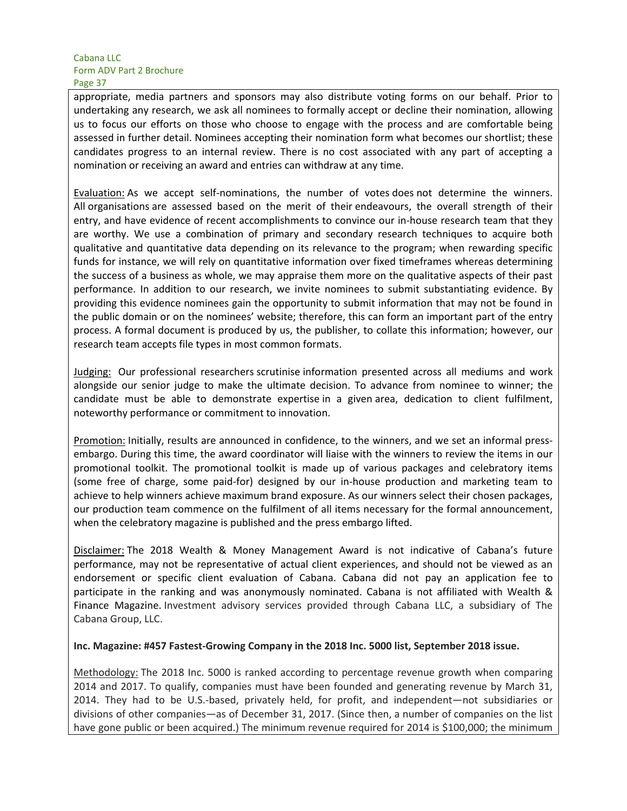appropriate, media partners and sponsors may also distribute voting forms on our behalf. Prior to undertaking any research, we ask all nominees to formally accept or decline their nomination, allowing us to focus our efforts on those who choose to engage with the process and are comfortable being assessed in further detail. Nominees accepting their nomination form what becomes our shortlist; these candidates progress to an internal review. There is no cost associated with any part of accepting a nomination or receiving an award and entries can withdraw at any time.

Evaluation: As we accept self-nominations, the number of votes does not determine the winners. All organisations are assessed based on the merit of their endeavours, the overall strength of their entry, and have evidence of recent accomplishments to convince our in-house research team that they are worthy. We use a combination of primary and secondary research techniques to acquire both qualitative and quantitative data depending on its relevance to the program; when rewarding specific funds for instance, we will rely on quantitative information over fixed timeframes whereas determining the success of a business as whole, we may appraise them more on the qualitative aspects of their past performance. In addition to our research, we invite nominees to submit substantiating evidence. By providing this evidence nominees gain the opportunity to submit information that may not be found in the public domain or on the nominees' website; therefore, this can form an important part of the entry process. A formal document is produced by us, the publisher, to collate this information; however, our research team accepts file types in most common formats.

Judging: Our professional researchers scrutinise information presented across all mediums and work alongside our senior judge to make the ultimate decision. To advance from nominee to winner; the candidate must be able to demonstrate expertise in a given area, dedication to client fulfilment, noteworthy performance or commitment to innovation.

Promotion: Initially, results are announced in confidence, to the winners, and we set an informal pressembargo. During this time, the award coordinator will liaise with the winners to review the items in our promotional toolkit. The promotional toolkit is made up of various packages and celebratory items (some free of charge, some paid-for) designed by our in-house production and marketing team to achieve to help winners achieve maximum brand exposure. As our winners select their chosen packages, our production team commence on the fulfilment of all items necessary for the formal announcement, when the celebratory magazine is published and the press embargo lifted.

Disclaimer: The 2018 Wealth & Money Management Award is not indicative of Cabana's future performance, may not be representative of actual client experiences, and should not be viewed as an endorsement or specific client evaluation of Cabana. Cabana did not pay an application fee to participate in the ranking and was anonymously nominated. Cabana is not affiliated with Wealth & Finance Magazine. Investment advisory services provided through Cabana LLC, a subsidiary of The Cabana Group, LLC.

#### **Inc. Magazine: #457 Fastest-Growing Company in the 2018 Inc. 5000 list, September 2018 issue.**

Methodology: The 2018 Inc. 5000 is ranked according to percentage revenue growth when comparing 2014 and 2017. To qualify, companies must have been founded and generating revenue by March 31, 2014. They had to be U.S.-based, privately held, for profit, and independent—not subsidiaries or divisions of other companies—as of December 31, 2017. (Since then, a number of companies on the list have gone public or been acquired.) The minimum revenue required for 2014 is \$100,000; the minimum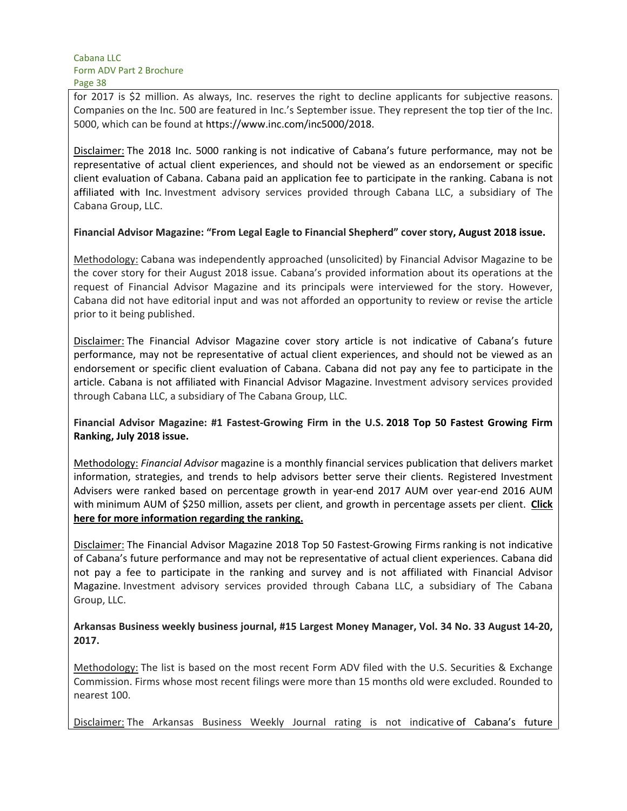for 2017 is \$2 million. As always, Inc. reserves the right to decline applicants for subjective reasons. Companies on the Inc. 500 are featured in Inc.'s September issue. They represent the top tier of the Inc. 5000, which can be found at https://www.inc.com/inc5000/2018.

Disclaimer: The 2018 Inc. 5000 ranking is not indicative of Cabana's future performance, may not be representative of actual client experiences, and should not be viewed as an endorsement or specific client evaluation of Cabana. Cabana paid an application fee to participate in the ranking. Cabana is not affiliated with Inc. Investment advisory services provided through Cabana LLC, a subsidiary of The Cabana Group, LLC.

#### **Financial Advisor Magazine: "From Legal Eagle to Financial Shepherd" cover story, August 2018 issue.**

Methodology: Cabana was independently approached (unsolicited) by Financial Advisor Magazine to be the cover story for their August 2018 issue. Cabana's provided information about its operations at the request of Financial Advisor Magazine and its principals were interviewed for the story. However, Cabana did not have editorial input and was not afforded an opportunity to review or revise the article prior to it being published.

Disclaimer: The Financial Advisor Magazine cover story article is not indicative of Cabana's future performance, may not be representative of actual client experiences, and should not be viewed as an endorsement or specific client evaluation of Cabana. Cabana did not pay any fee to participate in the article. Cabana is not affiliated with Financial Advisor Magazine. Investment advisory services provided through Cabana LLC, a subsidiary of The Cabana Group, LLC.

**Financial Advisor Magazine: #1 Fastest-Growing Firm in the U.S. 2018 Top 50 Fastest Growing Firm Ranking, July 2018 issue.**

Methodology: *Financial Advisor* magazine is a monthly financial services publication that delivers market information, strategies, and trends to help advisors better serve their clients. Registered Investment Advisers were ranked based on percentage growth in year-end 2017 AUM over year-end 2016 AUM with minimum AUM of \$250 million, assets per client, and growth in percentage assets per client.  **Click here for more information regarding the ranking.**

Disclaimer: The Financial Advisor Magazine 2018 Top 50 Fastest-Growing Firms ranking is not indicative of Cabana's future performance and may not be representative of actual client experiences. Cabana did not pay a fee to participate in the ranking and survey and is not affiliated with Financial Advisor Magazine. Investment advisory services provided through Cabana LLC, a subsidiary of The Cabana Group, LLC.

**Arkansas Business weekly business journal, #15 Largest Money Manager, Vol. 34 No. 33 August 14-20, 2017.**

Methodology: The list is based on the most recent Form ADV filed with the U.S. Securities & Exchange Commission. Firms whose most recent filings were more than 15 months old were excluded. Rounded to nearest 100.

Disclaimer: The Arkansas Business Weekly Journal rating is not indicative of Cabana's future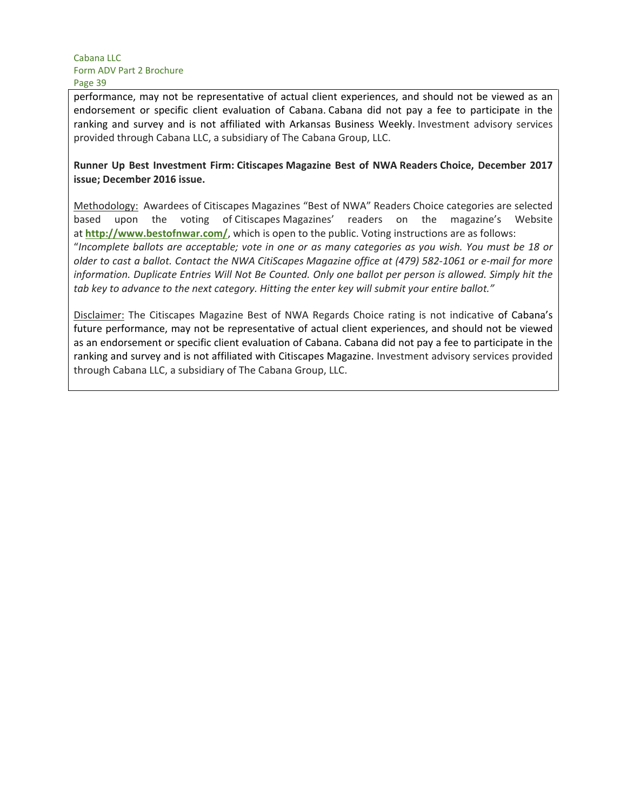performance, may not be representative of actual client experiences, and should not be viewed as an endorsement or specific client evaluation of Cabana. Cabana did not pay a fee to participate in the ranking and survey and is not affiliated with Arkansas Business Weekly. Investment advisory services provided through Cabana LLC, a subsidiary of The Cabana Group, LLC.

## **Runner Up Best Investment Firm: Citiscapes Magazine Best of NWA Readers Choice, December 2017 issue; December 2016 issue.**

Methodology: Awardees of Citiscapes Magazines "Best of NWA" Readers Choice categories are selected based upon the voting of Citiscapes Magazines' readers on the magazine's Website at **http://www.bestofnwar.com/**, which is open to the public. Voting instructions are as follows: "*Incomplete ballots are acceptable; vote in one or as many categories as you wish. You must be 18 or older to cast a ballot. Contact the NWA CitiScapes Magazine office at (479) 582-1061 or e-mail for more information. Duplicate Entries Will Not Be Counted. Only one ballot per person is allowed. Simply hit the tab key to advance to the next category. Hitting the enter key will submit your entire ballot."*

Disclaimer: The Citiscapes Magazine Best of NWA Regards Choice rating is not indicative of Cabana's future performance, may not be representative of actual client experiences, and should not be viewed as an endorsement or specific client evaluation of Cabana. Cabana did not pay a fee to participate in the ranking and survey and is not affiliated with Citiscapes Magazine. Investment advisory services provided through Cabana LLC, a subsidiary of The Cabana Group, LLC.